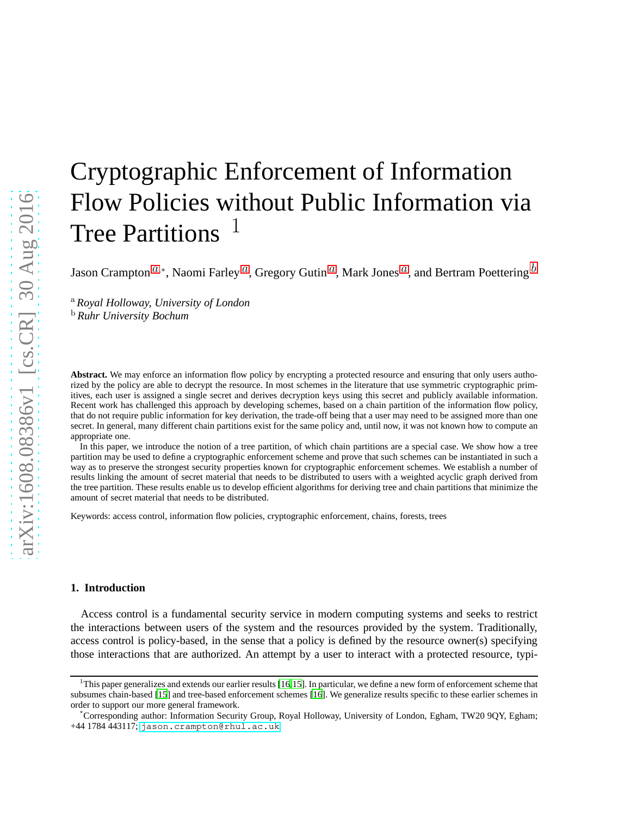# Cryptographic Enforcement of Information Flow Policies without Public Information via Tree Partitions<sup>1</sup>

J[a](#page-0-0)son Crampton $^{a,*}$ , Naomi Farley  $^a$ , Gregory Gutin  $^a$ , Mark Jones  $^a$ , and Bertram Poettering  $^b$  $^b$ 

<span id="page-0-1"></span><span id="page-0-0"></span><sup>a</sup> *Royal Holloway, University of London* <sup>b</sup> *Ruhr University Bochum*

Abstract. We may enforce an information flow policy by encrypting a protected resource and ensuring that only users authorized by the policy are able to decrypt the resource. In most schemes in the literature that use symmetric cryptographic primitives, each user is assigned a single secret and derives decryption keys using this secret and publicly available information. Recent work has challenged this approach by developing schemes, based on a chain partition of the information flow policy, that do not require public information for key derivation, the trade-off being that a user may need to be assigned more than one secret. In general, many different chain partitions exist for the same policy and, until now, it was not known how to compute an appropriate one.

In this paper, we introduce the notion of a tree partition, of which chain partitions are a special case. We show how a tree partition may be used to define a cryptographic enforcement scheme and prove that such schemes can be instantiated in such a way as to preserve the strongest security properties known for cryptographic enforcement schemes. We establish a number of results linking the amount of secret material that needs to be distributed to users with a weighted acyclic graph derived from the tree partition. These results enable us to develop efficient algorithms for deriving tree and chain partitions that minimize the amount of secret material that needs to be distributed.

Keywords: access control, information flow policies, cryptographic enforcement, chains, forests, trees

# **1. Introduction**

Access control is a fundamental security service in modern computing systems and seeks to restrict the interactions between users of the system and the resources provided by the system. Traditionally, access control is policy-based, in the sense that a policy is defined by the resource owner(s) specifying those interactions that are authorized. An attempt by a user to interact with a protected resource, typi-

<sup>1</sup>This paper generalizes and extends our earlier results [\[16](#page-23-0)[,15\]](#page-23-1). In particular, we define a new form of enforcement scheme that subsumes chain-based [\[15](#page-23-1)] and tree-based enforcement schemes [\[16\]](#page-23-0). We generalize results specific to these earlier schemes in order to support our more general framework.

<sup>\*</sup>Corresponding author: Information Security Group, Royal Holloway, University of London, Egham, TW20 9QY, Egham; +44 1784 443117; <jason.crampton@rhul.ac.uk>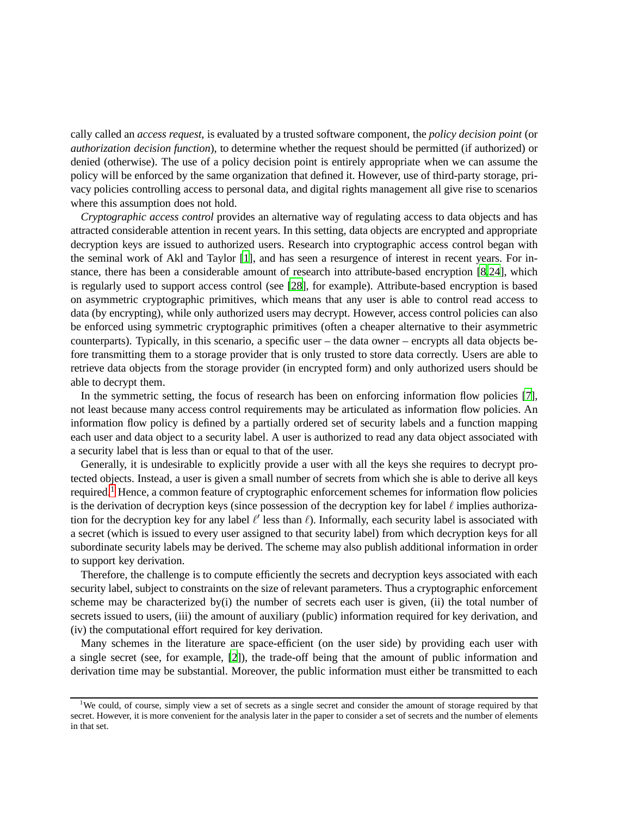cally called an *access request*, is evaluated by a trusted software component, the *policy decision point* (or *authorization decision function*), to determine whether the request should be permitted (if authorized) or denied (otherwise). The use of a policy decision point is entirely appropriate when we can assume the policy will be enforced by the same organization that defined it. However, use of third-party storage, privacy policies controlling access to personal data, and digital rights management all give rise to scenarios where this assumption does not hold.

*Cryptographic access control* provides an alternative way of regulating access to data objects and has attracted considerable attention in recent years. In this setting, data objects are encrypted and appropriate decryption keys are issued to authorized users. Research into cryptographic access control began with the seminal work of Akl and Taylor [\[1\]](#page-22-0), and has seen a resurgence of interest in recent years. For instance, there has been a considerable amount of research into attribute-based encryption [\[8](#page-22-1)[,24\]](#page-23-2), which is regularly used to support access control (see [\[28](#page-23-3)], for example). Attribute-based encryption is based on asymmetric cryptographic primitives, which means that any user is able to control read access to data (by encrypting), while only authorized users may decrypt. However, access control policies can also be enforced using symmetric cryptographic primitives (often a cheaper alternative to their asymmetric counterparts). Typically, in this scenario, a specific user – the data owner – encrypts all data objects before transmitting them to a storage provider that is only trusted to store data correctly. Users are able to retrieve data objects from the storage provider (in encrypted form) and only authorized users should be able to decrypt them.

In the symmetric setting, the focus of research has been on enforcing information flow policies [\[7\]](#page-22-2), not least because many access control requirements may be articulated as information flow policies. An information flow policy is defined by a partially ordered set of security labels and a function mapping each user and data object to a security label. A user is authorized to read any data object associated with a security label that is less than or equal to that of the user.

Generally, it is undesirable to explicitly provide a user with all the keys she requires to decrypt protected objects. Instead, a user is given a small number of secrets from which she is able to derive all keys required.<sup>[1](#page-1-0)</sup> Hence, a common feature of cryptographic enforcement schemes for information flow policies is the derivation of decryption keys (since possession of the decryption key for label  $\ell$  implies authorization for the decryption key for any label  $\ell'$  less than  $\ell$ ). Informally, each security label is associated with a secret (which is issued to every user assigned to that security label) from which decryption keys for all subordinate security labels may be derived. The scheme may also publish additional information in order to support key derivation.

Therefore, the challenge is to compute efficiently the secrets and decryption keys associated with each security label, subject to constraints on the size of relevant parameters. Thus a cryptographic enforcement scheme may be characterized by(i) the number of secrets each user is given, (ii) the total number of secrets issued to users, (iii) the amount of auxiliary (public) information required for key derivation, and (iv) the computational effort required for key derivation.

Many schemes in the literature are space-efficient (on the user side) by providing each user with a single secret (see, for example, [\[2](#page-22-3)]), the trade-off being that the amount of public information and derivation time may be substantial. Moreover, the public information must either be transmitted to each

<span id="page-1-0"></span><sup>&</sup>lt;sup>1</sup>We could, of course, simply view a set of secrets as a single secret and consider the amount of storage required by that secret. However, it is more convenient for the analysis later in the paper to consider a set of secrets and the number of elements in that set.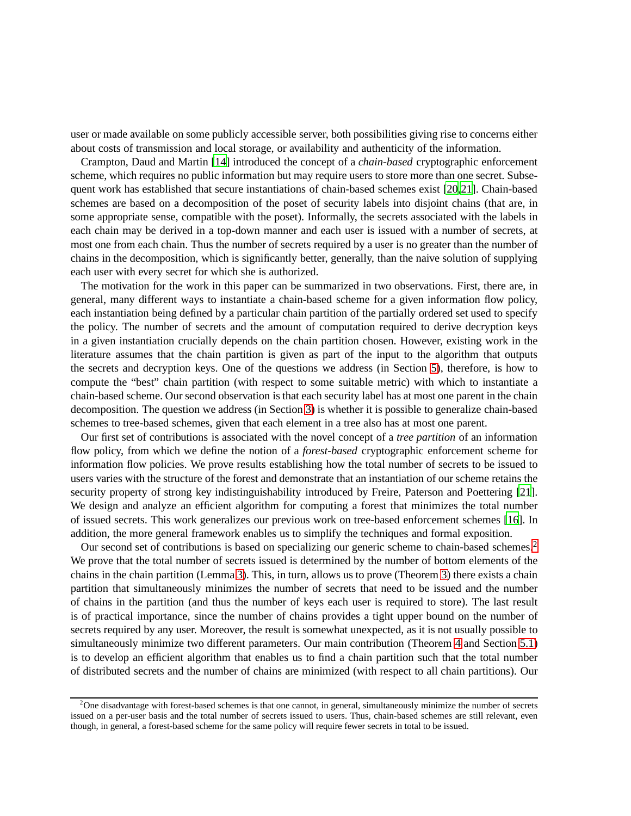user or made available on some publicly accessible server, both possibilities giving rise to concerns either about costs of transmission and local storage, or availability and authenticity of the information.

Crampton, Daud and Martin [\[14](#page-23-4)] introduced the concept of a *chain-based* cryptographic enforcement scheme, which requires no public information but may require users to store more than one secret. Subsequent work has established that secure instantiations of chain-based schemes exist [\[20](#page-23-5)[,21](#page-23-6)]. Chain-based schemes are based on a decomposition of the poset of security labels into disjoint chains (that are, in some appropriate sense, compatible with the poset). Informally, the secrets associated with the labels in each chain may be derived in a top-down manner and each user is issued with a number of secrets, at most one from each chain. Thus the number of secrets required by a user is no greater than the number of chains in the decomposition, which is significantly better, generally, than the naive solution of supplying each user with every secret for which she is authorized.

The motivation for the work in this paper can be summarized in two observations. First, there are, in general, many different ways to instantiate a chain-based scheme for a given information flow policy, each instantiation being defined by a particular chain partition of the partially ordered set used to specify the policy. The number of secrets and the amount of computation required to derive decryption keys in a given instantiation crucially depends on the chain partition chosen. However, existing work in the literature assumes that the chain partition is given as part of the input to the algorithm that outputs the secrets and decryption keys. One of the questions we address (in Section [5\)](#page-17-0), therefore, is how to compute the "best" chain partition (with respect to some suitable metric) with which to instantiate a chain-based scheme. Our second observation is that each security label has at most one parent in the chain decomposition. The question we address (in Section [3\)](#page-8-0) is whether it is possible to generalize chain-based schemes to tree-based schemes, given that each element in a tree also has at most one parent.

Our first set of contributions is associated with the novel concept of a *tree partition* of an information flow policy, from which we define the notion of a *forest-based* cryptographic enforcement scheme for information flow policies. We prove results establishing how the total number of secrets to be issued to users varies with the structure of the forest and demonstrate that an instantiation of our scheme retains the security property of strong key indistinguishability introduced by Freire, Paterson and Poettering [\[21\]](#page-23-6). We design and analyze an efficient algorithm for computing a forest that minimizes the total number of issued secrets. This work generalizes our previous work on tree-based enforcement schemes [\[16](#page-23-0)]. In addition, the more general framework enables us to simplify the techniques and formal exposition.

Our second set of contributions is based on specializing our generic scheme to chain-based schemes.<sup>[2](#page-2-0)</sup> We prove that the total number of secrets issued is determined by the number of bottom elements of the chains in the chain partition (Lemma [3\)](#page-17-1). This, in turn, allows us to prove (Theorem [3\)](#page-18-0) there exists a chain partition that simultaneously minimizes the number of secrets that need to be issued and the number of chains in the partition (and thus the number of keys each user is required to store). The last result is of practical importance, since the number of chains provides a tight upper bound on the number of secrets required by any user. Moreover, the result is somewhat unexpected, as it is not usually possible to simultaneously minimize two different parameters. Our main contribution (Theorem [4](#page-21-0) and Section [5.1\)](#page-19-0) is to develop an efficient algorithm that enables us to find a chain partition such that the total number of distributed secrets and the number of chains are minimized (with respect to all chain partitions). Our

<span id="page-2-0"></span> $2$ One disadvantage with forest-based schemes is that one cannot, in general, simultaneously minimize the number of secrets issued on a per-user basis and the total number of secrets issued to users. Thus, chain-based schemes are still relevant, even though, in general, a forest-based scheme for the same policy will require fewer secrets in total to be issued.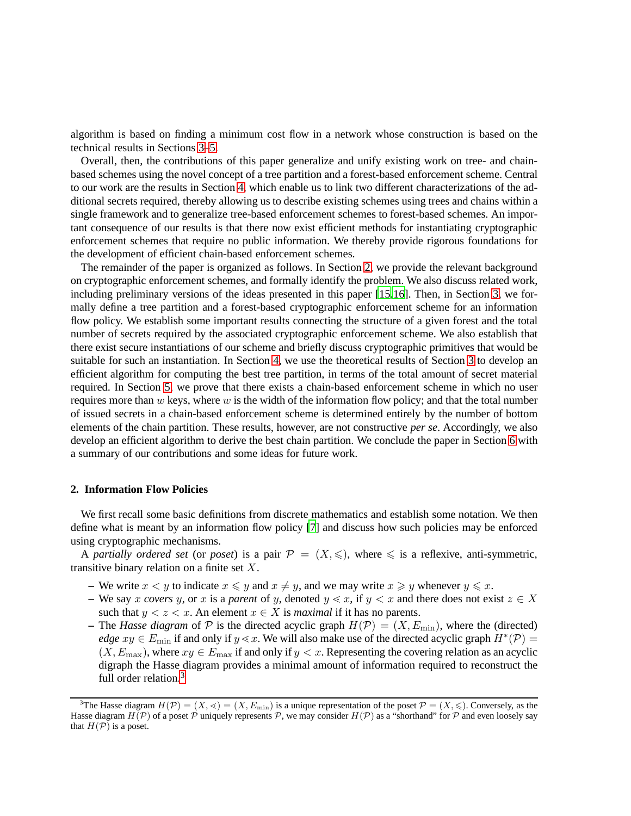algorithm is based on finding a minimum cost flow in a network whose construction is based on the technical results in Sections [3–](#page-8-0)[5.](#page-17-0)

Overall, then, the contributions of this paper generalize and unify existing work on tree- and chainbased schemes using the novel concept of a tree partition and a forest-based enforcement scheme. Central to our work are the results in Section [4,](#page-14-0) which enable us to link two different characterizations of the additional secrets required, thereby allowing us to describe existing schemes using trees and chains within a single framework and to generalize tree-based enforcement schemes to forest-based schemes. An important consequence of our results is that there now exist efficient methods for instantiating cryptographic enforcement schemes that require no public information. We thereby provide rigorous foundations for the development of efficient chain-based enforcement schemes.

The remainder of the paper is organized as follows. In Section [2,](#page-3-0) we provide the relevant background on cryptographic enforcement schemes, and formally identify the problem. We also discuss related work, including preliminary versions of the ideas presented in this paper [\[15](#page-23-1)[,16\]](#page-23-0). Then, in Section [3,](#page-8-0) we formally define a tree partition and a forest-based cryptographic enforcement scheme for an information flow policy. We establish some important results connecting the structure of a given forest and the total number of secrets required by the associated cryptographic enforcement scheme. We also establish that there exist secure instantiations of our scheme and briefly discuss cryptographic primitives that would be suitable for such an instantiation. In Section [4,](#page-14-0) we use the theoretical results of Section [3](#page-8-0) to develop an efficient algorithm for computing the best tree partition, in terms of the total amount of secret material required. In Section [5,](#page-17-0) we prove that there exists a chain-based enforcement scheme in which no user requires more than  $w$  keys, where  $w$  is the width of the information flow policy; and that the total number of issued secrets in a chain-based enforcement scheme is determined entirely by the number of bottom elements of the chain partition. These results, however, are not constructive *per se*. Accordingly, we also develop an efficient algorithm to derive the best chain partition. We conclude the paper in Section [6](#page-22-4) with a summary of our contributions and some ideas for future work.

### <span id="page-3-0"></span>**2. Information Flow Policies**

We first recall some basic definitions from discrete mathematics and establish some notation. We then define what is meant by an information flow policy [\[7](#page-22-2)] and discuss how such policies may be enforced using cryptographic mechanisms.

A *partially ordered set* (or *poset*) is a pair  $\mathcal{P} = (X, \leq)$ , where  $\leq$  is a reflexive, anti-symmetric, transitive binary relation on a finite set  $X$ .

- **–** We write  $x < y$  to indicate  $x \leq y$  and  $x \neq y$ , and we may write  $x \geq y$  whenever  $y \leq x$ .
- We say x *covers* y, or x is a *parent* of y, denoted  $y \leq x$ , if  $y \leq x$  and there does not exist  $z \in X$ such that  $y < z < x$ . An element  $x \in X$  is *maximal* if it has no parents.
- The *Hasse diagram* of  $P$  is the directed acyclic graph  $H(P) = (X, E_{min})$ , where the (directed) *edge*  $xy \in E_{\text{min}}$  if and only if  $y \leq x$ . We will also make use of the directed acyclic graph  $H^*(\mathcal{P}) =$  $(X, E_{\text{max}})$ , where  $xy \in E_{\text{max}}$  if and only if  $y < x$ . Representing the covering relation as an acyclic digraph the Hasse diagram provides a minimal amount of information required to reconstruct the full order relation.<sup>[3](#page-3-1)</sup>

<span id="page-3-1"></span><sup>&</sup>lt;sup>3</sup>The Hasse diagram  $H(\mathcal{P}) = (X, \leq) = (X, E_{\min})$  is a unique representation of the poset  $\mathcal{P} = (X, \leq)$ . Conversely, as the Hasse diagram  $H(\mathcal{P})$  of a poset  $\mathcal P$  uniquely represents  $\mathcal P$ , we may consider  $H(\mathcal{P})$  as a "shorthand" for  $\mathcal P$  and even loosely say that  $H(\mathcal{P})$  is a poset.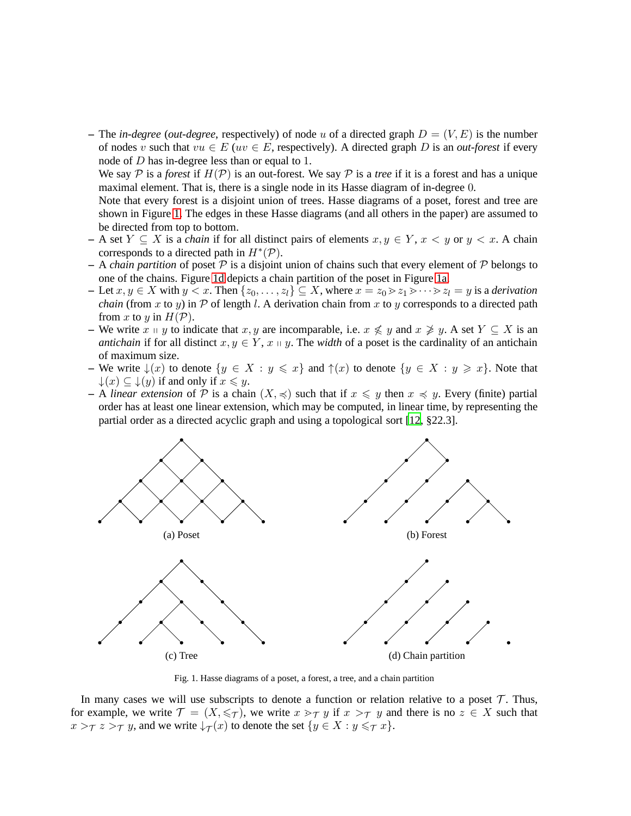– The *in-degree* (*out-degree*, respectively) of node u of a directed graph  $D = (V, E)$  is the number of nodes v such that  $vu \in E$  ( $uv \in E$ , respectively). A directed graph D is an *out-forest* if every node of D has in-degree less than or equal to 1.

We say P is a *forest* if  $H(\mathcal{P})$  is an out-forest. We say P is a *tree* if it is a forest and has a unique maximal element. That is, there is a single node in its Hasse diagram of in-degree 0.

Note that every forest is a disjoint union of trees. Hasse diagrams of a poset, forest and tree are shown in Figure [1.](#page-4-0) The edges in these Hasse diagrams (and all others in the paper) are assumed to be directed from top to bottom.

- $-$  A set *Y* ⊆ *X* is a *chain* if for all distinct pairs of elements  $x, y \in Y$ ,  $x < y$  or  $y < x$ . A chain corresponds to a directed path in  $H^*(P)$ .
- $-$  A *chain partition* of poset  $P$  is a disjoint union of chains such that every element of  $P$  belongs to one of the chains. Figure [1d](#page-4-0) depicts a chain partition of the poset in Figure [1a.](#page-4-0)
- $-$  Let  $x, y \in X$  with  $y < x$ . Then  $\{z_0, \ldots, z_l\} \subseteq X$ , where  $x = z_0 > z_1 > \cdots > z_l = y$  is a *derivation chain* (from x to y) in  $\mathcal P$  of length l. A derivation chain from x to y corresponds to a directed path from x to y in  $H(\mathcal{P})$ .
- **–** We write  $x \text{ ⊥ } y$  to indicate that  $x, y$  are incomparable, i.e.  $x \nleq y$  and  $x \ngeq y$ . A set  $Y \subseteq X$  is an *antichain* if for all distinct  $x, y \in Y$ ,  $x \mid y$ . The *width* of a poset is the cardinality of an antichain of maximum size.
- **–** We write  $\downarrow$ (x) to denote  $\{y \in X : y \leq x\}$  and  $\uparrow$ (x) to denote  $\{y \in X : y \geq x\}$ . Note that  $\downarrow(x) \subseteq \downarrow(y)$  if and only if  $x \leq y$ .
- **–** A *linear extension* of  $P$  is a chain  $(X, \preccurlyeq)$  such that if  $x \preccurlyeq y$  then  $x \preccurlyeq y$ . Every (finite) partial order has at least one linear extension, which may be computed, in linear time, by representing the partial order as a directed acyclic graph and using a topological sort [\[12](#page-23-7), §22.3].

<span id="page-4-0"></span>

Fig. 1. Hasse diagrams of a poset, a forest, a tree, and a chain partition

In many cases we will use subscripts to denote a function or relation relative to a poset  $\mathcal T$ . Thus, for example, we write  $\mathcal{T} = (X, \leq \tau)$ , we write  $x >_{\tau} y$  if  $x >_{\tau} y$  and there is no  $z \in X$  such that  $x >_{\mathcal{T}} z >_{\mathcal{T}} y$ , and we write  $\downarrow_{\mathcal{T}}(x)$  to denote the set  $\{y \in X : y \leqslant_{\mathcal{T}} x\}$ .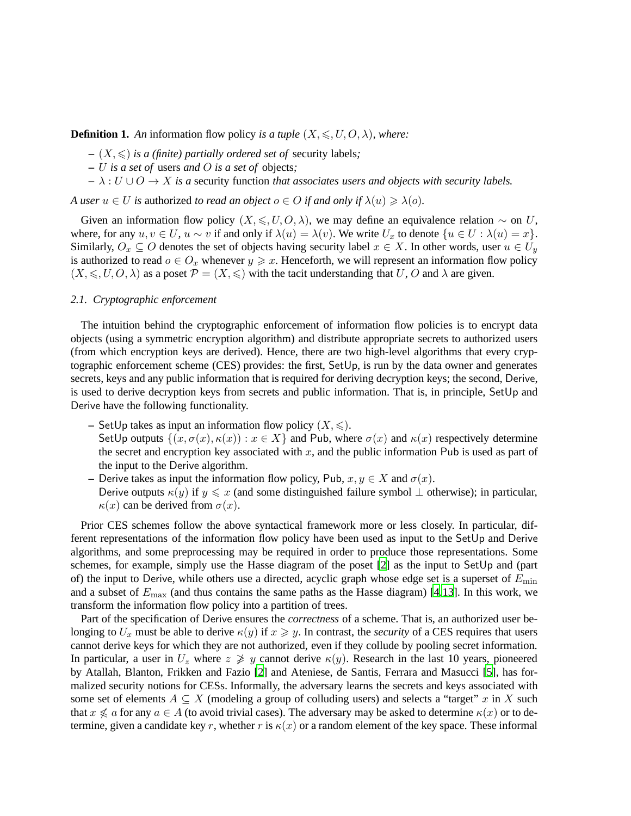**Definition 1.** An information flow policy *is a tuple*  $(X, \leq, U, O, \lambda)$ *, where:* 

- $(X, \leq)$  *is a (finite) partially ordered set of security labels;*
- **–** U *is a set of* users *and* O *is a set of* objects*;*
- **–** λ : U ∪ O → X *is a* security function *that associates users and objects with security labels.*

*A* user  $u \in U$  *is* authorized *to read an object*  $o \in O$  *if and only if*  $\lambda(u) \geq \lambda(o)$ *.* 

Given an information flow policy  $(X, \leq, U, O, \lambda)$ , we may define an equivalence relation ~ on U, where, for any  $u, v \in U$ ,  $u \sim v$  if and only if  $\lambda(u) = \lambda(v)$ . We write  $U_x$  to denote  $\{u \in U : \lambda(u) = x\}$ . Similarly,  $O_x \subseteq O$  denotes the set of objects having security label  $x \in X$ . In other words, user  $u \in U_y$ is authorized to read  $o \in O_x$  whenever  $y \geq x$ . Henceforth, we will represent an information flow policy  $(X, \leq, U, O, \lambda)$  as a poset  $\mathcal{P} = (X, \leq)$  with the tacit understanding that U, O and  $\lambda$  are given.

# *2.1. Cryptographic enforcement*

The intuition behind the cryptographic enforcement of information flow policies is to encrypt data objects (using a symmetric encryption algorithm) and distribute appropriate secrets to authorized users (from which encryption keys are derived). Hence, there are two high-level algorithms that every cryptographic enforcement scheme (CES) provides: the first, SetUp, is run by the data owner and generates secrets, keys and any public information that is required for deriving decryption keys; the second, Derive, is used to derive decryption keys from secrets and public information. That is, in principle, SetUp and Derive have the following functionality.

- **–** SetUp takes as input an information flow policy  $(X, \leq)$ . SetUp outputs  $\{(x, \sigma(x), \kappa(x)) : x \in X\}$  and Pub, where  $\sigma(x)$  and  $\kappa(x)$  respectively determine the secret and encryption key associated with  $x$ , and the public information Pub is used as part of the input to the Derive algorithm.
- **–** Derive takes as input the information flow policy, Pub,  $x, y \in X$  and  $\sigma(x)$ . Derive outputs  $\kappa(y)$  if  $y \leq x$  (and some distinguished failure symbol  $\perp$  otherwise); in particular,  $\kappa(x)$  can be derived from  $\sigma(x)$ .

Prior CES schemes follow the above syntactical framework more or less closely. In particular, different representations of the information flow policy have been used as input to the SetUp and Derive algorithms, and some preprocessing may be required in order to produce those representations. Some schemes, for example, simply use the Hasse diagram of the poset [\[2\]](#page-22-3) as the input to SetUp and (part of) the input to Derive, while others use a directed, acyclic graph whose edge set is a superset of  $E_{\text{min}}$ and a subset of  $E_{\text{max}}$  (and thus contains the same paths as the Hasse diagram) [\[4](#page-22-5)[,13](#page-23-8)]. In this work, we transform the information flow policy into a partition of trees.

Part of the specification of Derive ensures the *correctness* of a scheme. That is, an authorized user belonging to  $U_x$  must be able to derive  $\kappa(y)$  if  $x \ge y$ . In contrast, the *security* of a CES requires that users cannot derive keys for which they are not authorized, even if they collude by pooling secret information. In particular, a user in  $U_z$  where  $z \not\geq y$  cannot derive  $\kappa(y)$ . Research in the last 10 years, pioneered by Atallah, Blanton, Frikken and Fazio [\[2\]](#page-22-3) and Ateniese, de Santis, Ferrara and Masucci [\[5\]](#page-22-6), has formalized security notions for CESs. Informally, the adversary learns the secrets and keys associated with some set of elements  $A \subseteq X$  (modeling a group of colluding users) and selects a "target" x in X such that  $x \nleq a$  for any  $a \in A$  (to avoid trivial cases). The adversary may be asked to determine  $\kappa(x)$  or to determine, given a candidate key r, whether r is  $\kappa(x)$  or a random element of the key space. These informal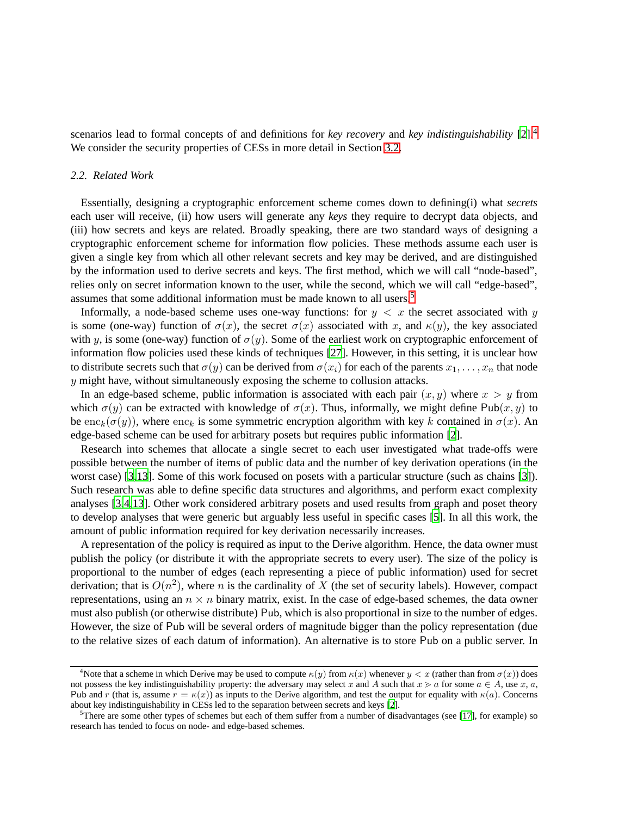scenarios lead to formal concepts of and definitions for *key recovery* and *key indistinguishability* [\[2](#page-22-3)].[4](#page-6-0) We consider the security properties of CESs in more detail in Section [3.2.](#page-10-0)

# *2.2. Related Work*

Essentially, designing a cryptographic enforcement scheme comes down to defining(i) what *secrets* each user will receive, (ii) how users will generate any *keys* they require to decrypt data objects, and (iii) how secrets and keys are related. Broadly speaking, there are two standard ways of designing a cryptographic enforcement scheme for information flow policies. These methods assume each user is given a single key from which all other relevant secrets and key may be derived, and are distinguished by the information used to derive secrets and keys. The first method, which we will call "node-based", relies only on secret information known to the user, while the second, which we will call "edge-based", assumes that some additional information must be made known to all users.[5](#page-6-1)

Informally, a node-based scheme uses one-way functions: for  $y < x$  the secret associated with y is some (one-way) function of  $\sigma(x)$ , the secret  $\sigma(x)$  associated with x, and  $\kappa(y)$ , the key associated with y, is some (one-way) function of  $\sigma(y)$ . Some of the earliest work on cryptographic enforcement of information flow policies used these kinds of techniques [\[27\]](#page-23-9). However, in this setting, it is unclear how to distribute secrets such that  $\sigma(y)$  can be derived from  $\sigma(x_i)$  for each of the parents  $x_1, \ldots, x_n$  that node  $y$  might have, without simultaneously exposing the scheme to collusion attacks.

In an edge-based scheme, public information is associated with each pair  $(x, y)$  where  $x > y$  from which  $\sigma(y)$  can be extracted with knowledge of  $\sigma(x)$ . Thus, informally, we might define Pub $(x, y)$  to be enc<sub>k</sub>( $\sigma(y)$ ), where enc<sub>k</sub> is some symmetric encryption algorithm with key k contained in  $\sigma(x)$ . An edge-based scheme can be used for arbitrary posets but requires public information [\[2\]](#page-22-3).

Research into schemes that allocate a single secret to each user investigated what trade-offs were possible between the number of items of public data and the number of key derivation operations (in the worst case) [\[3](#page-22-7)[,13\]](#page-23-8). Some of this work focused on posets with a particular structure (such as chains [\[3](#page-22-7)]). Such research was able to define specific data structures and algorithms, and perform exact complexity analyses [\[3](#page-22-7)[,4](#page-22-5)[,13\]](#page-23-8). Other work considered arbitrary posets and used results from graph and poset theory to develop analyses that were generic but arguably less useful in specific cases [\[5](#page-22-6)]. In all this work, the amount of public information required for key derivation necessarily increases.

A representation of the policy is required as input to the Derive algorithm. Hence, the data owner must publish the policy (or distribute it with the appropriate secrets to every user). The size of the policy is proportional to the number of edges (each representing a piece of public information) used for secret derivation; that is  $O(n^2)$ , where n is the cardinality of X (the set of security labels). However, compact representations, using an  $n \times n$  binary matrix, exist. In the case of edge-based schemes, the data owner must also publish (or otherwise distribute) Pub, which is also proportional in size to the number of edges. However, the size of Pub will be several orders of magnitude bigger than the policy representation (due to the relative sizes of each datum of information). An alternative is to store Pub on a public server. In

<span id="page-6-0"></span><sup>&</sup>lt;sup>4</sup>Note that a scheme in which Derive may be used to compute  $\kappa(y)$  from  $\kappa(x)$  whenever  $y < x$  (rather than from  $\sigma(x)$ ) does not possess the key indistinguishability property: the adversary may select x and A such that  $x > a$  for some  $a \in A$ , use x, a, Pub and r (that is, assume  $r = \kappa(x)$ ) as inputs to the Derive algorithm, and test the output for equality with  $\kappa(a)$ . Concerns about key indistinguishability in CESs led to the separation between secrets and keys [\[2](#page-22-3)].

<span id="page-6-1"></span> $5$ There are some other types of schemes but each of them suffer from a number of disadvantages (see [\[17\]](#page-23-10), for example) so research has tended to focus on node- and edge-based schemes.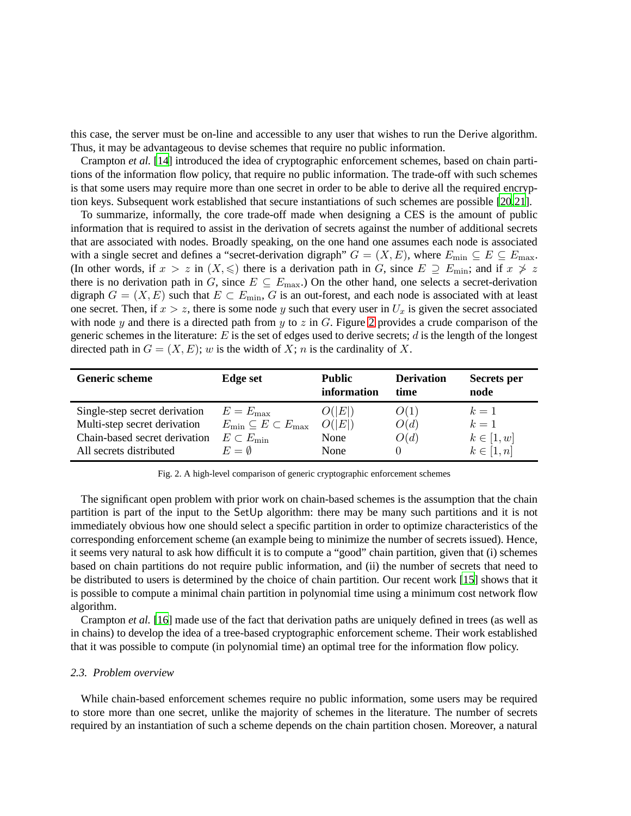this case, the server must be on-line and accessible to any user that wishes to run the Derive algorithm. Thus, it may be advantageous to devise schemes that require no public information.

Crampton *et al.* [\[14\]](#page-23-4) introduced the idea of cryptographic enforcement schemes, based on chain partitions of the information flow policy, that require no public information. The trade-off with such schemes is that some users may require more than one secret in order to be able to derive all the required encryption keys. Subsequent work established that secure instantiations of such schemes are possible [\[20](#page-23-5)[,21](#page-23-6)].

To summarize, informally, the core trade-off made when designing a CES is the amount of public information that is required to assist in the derivation of secrets against the number of additional secrets that are associated with nodes. Broadly speaking, on the one hand one assumes each node is associated with a single secret and defines a "secret-derivation digraph"  $G = (X, E)$ , where  $E_{\text{min}} \subseteq E \subseteq E_{\text{max}}$ . (In other words, if  $x > z$  in  $(X, \leq)$  there is a derivation path in G, since  $E \supseteq E_{\min}$ ; and if  $x \not> z$ there is no derivation path in G, since  $E \subseteq E_{\text{max}}$ .) On the other hand, one selects a secret-derivation digraph  $G = (X, E)$  such that  $E \subset E_{\text{min}}$ , G is an out-forest, and each node is associated with at least one secret. Then, if  $x > z$ , there is some node y such that every user in  $U_x$  is given the secret associated with node y and there is a directed path from y to z in  $G$ . Figure [2](#page-7-0) provides a crude comparison of the generic schemes in the literature:  $E$  is the set of edges used to derive secrets; d is the length of the longest directed path in  $G = (X, E)$ ; w is the width of X; n is the cardinality of X.

<span id="page-7-0"></span>

| <b>Generic scheme</b>         | Edge set                                | Public<br>information | <b>Derivation</b><br>time | <b>Secrets</b> per<br>node |
|-------------------------------|-----------------------------------------|-----------------------|---------------------------|----------------------------|
| Single-step secret derivation | $E = E_{\text{max}}$                    | O( E )                | O(1)                      | $k=1$                      |
| Multi-step secret derivation  | $E_{\min} \subseteq E \subset E_{\max}$ | O( E )                | O(d)                      | $k=1$                      |
| Chain-based secret derivation | $E \subset E_{\min}$                    | None                  | O(d)                      | $k\in[1,w]$                |
| All secrets distributed       | $E = \emptyset$                         | None                  |                           | $k\in[1,n]$                |

Fig. 2. A high-level comparison of generic cryptographic enforcement schemes

The significant open problem with prior work on chain-based schemes is the assumption that the chain partition is part of the input to the SetUp algorithm: there may be many such partitions and it is not immediately obvious how one should select a specific partition in order to optimize characteristics of the corresponding enforcement scheme (an example being to minimize the number of secrets issued). Hence, it seems very natural to ask how difficult it is to compute a "good" chain partition, given that (i) schemes based on chain partitions do not require public information, and (ii) the number of secrets that need to be distributed to users is determined by the choice of chain partition. Our recent work [\[15](#page-23-1)] shows that it is possible to compute a minimal chain partition in polynomial time using a minimum cost network flow algorithm.

Crampton *et al.* [\[16](#page-23-0)] made use of the fact that derivation paths are uniquely defined in trees (as well as in chains) to develop the idea of a tree-based cryptographic enforcement scheme. Their work established that it was possible to compute (in polynomial time) an optimal tree for the information flow policy.

# *2.3. Problem overview*

While chain-based enforcement schemes require no public information, some users may be required to store more than one secret, unlike the majority of schemes in the literature. The number of secrets required by an instantiation of such a scheme depends on the chain partition chosen. Moreover, a natural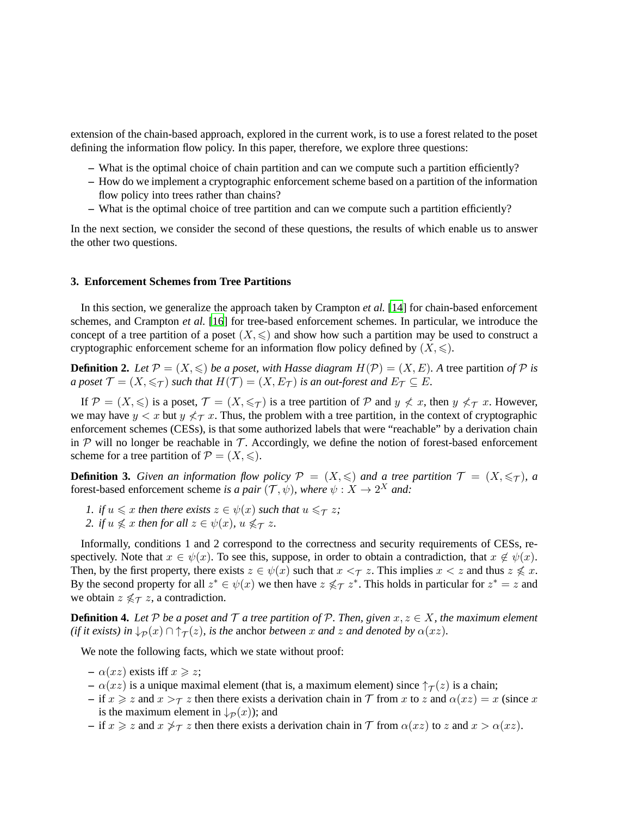extension of the chain-based approach, explored in the current work, is to use a forest related to the poset defining the information flow policy. In this paper, therefore, we explore three questions:

- **–** What is the optimal choice of chain partition and can we compute such a partition efficiently?
- **–** How do we implement a cryptographic enforcement scheme based on a partition of the information flow policy into trees rather than chains?
- **–** What is the optimal choice of tree partition and can we compute such a partition efficiently?

In the next section, we consider the second of these questions, the results of which enable us to answer the other two questions.

# <span id="page-8-0"></span>**3. Enforcement Schemes from Tree Partitions**

In this section, we generalize the approach taken by Crampton *et al.* [\[14](#page-23-4)] for chain-based enforcement schemes, and Crampton *et al.* [\[16](#page-23-0)] for tree-based enforcement schemes. In particular, we introduce the concept of a tree partition of a poset  $(X, \leq)$  and show how such a partition may be used to construct a cryptographic enforcement scheme for an information flow policy defined by  $(X, \leq)$ .

**Definition 2.** Let  $\mathcal{P} = (X, \leq)$  be a poset, with Hasse diagram  $H(\mathcal{P}) = (X, E)$ . A tree partition of  $\mathcal P$  is *a poset*  $\mathcal{T} = (X, \leq_T)$  *such that*  $H(\mathcal{T}) = (X, E_T)$  *is an out-forest and*  $E_T \subseteq E$ *.* 

If  $\mathcal{P} = (X, \leqslant)$  is a poset,  $\mathcal{T} = (X, \leqslant_{\mathcal{T}})$  is a tree partition of  $\mathcal{P}$  and  $y \nless x$ , then  $y \nless_{\mathcal{T}} x$ . However, we may have  $y < x$  but  $y \nless \tau x$ . Thus, the problem with a tree partition, in the context of cryptographic enforcement schemes (CESs), is that some authorized labels that were "reachable" by a derivation chain in  $P$  will no longer be reachable in  $T$ . Accordingly, we define the notion of forest-based enforcement scheme for a tree partition of  $\mathcal{P} = (X, \leqslant)$ .

**Definition 3.** *Given an information flow policy*  $\mathcal{P} = (X, \leqslant)$  *and a tree partition*  $\mathcal{T} = (X, \leqslant_{\mathcal{T}})$ *, a* forest-based enforcement scheme *is a pair*  $(\mathcal{T}, \psi)$ *, where*  $\psi : X \to 2^X$  *and:* 

- *1. if*  $u \leq x$  *then there exists*  $z \in \psi(x)$  *such that*  $u \leq \tau z$ *;*
- *2. if*  $u \nleq x$  *then for all*  $z \in \psi(x)$ *,*  $u \nleq \tau z$ *.*

Informally, conditions 1 and 2 correspond to the correctness and security requirements of CESs, respectively. Note that  $x \in \psi(x)$ . To see this, suppose, in order to obtain a contradiction, that  $x \notin \psi(x)$ . Then, by the first property, there exists  $z \in \psi(x)$  such that  $x \leq \tau z$ . This implies  $x \leq z$  and thus  $z \nleq x$ . By the second property for all  $z^* \in \psi(x)$  we then have  $z \nleq \tau z^*$ . This holds in particular for  $z^* = z$  and we obtain  $z \nleq \tau z$ , a contradiction.

**Definition 4.** *Let*  $P$  *be a poset and*  $T$  *a tree partition of*  $P$ *. Then, given*  $x, z \in X$ *, the maximum element (if it exists) in*  $\downarrow_{\mathcal{P}}(x) \cap \uparrow_{\mathcal{T}}(z)$ *, is the anchor between* x *and* z *and denoted by*  $\alpha(xz)$ *.* 

We note the following facts, which we state without proof:

- $-\alpha(xz)$  exists iff  $x \geq z$ ;
- $\alpha(xz)$  is a unique maximal element (that is, a maximum element) since  $\uparrow_{\mathcal{T}}(z)$  is a chain;
- if  $x \ge z$  and  $x > \tau z$  then there exists a derivation chain in T from x to z and  $\alpha(xz) = x$  (since x is the maximum element in  $\downarrow_{\mathcal{P}}(x)$ ; and
- $-\text{ if } x \geqslant z \text{ and } x \geqslant \tau z \text{ then there exists a derivation chain in } \mathcal{T} \text{ from } \alpha(xz) \text{ to } z \text{ and } x > \alpha(xz).$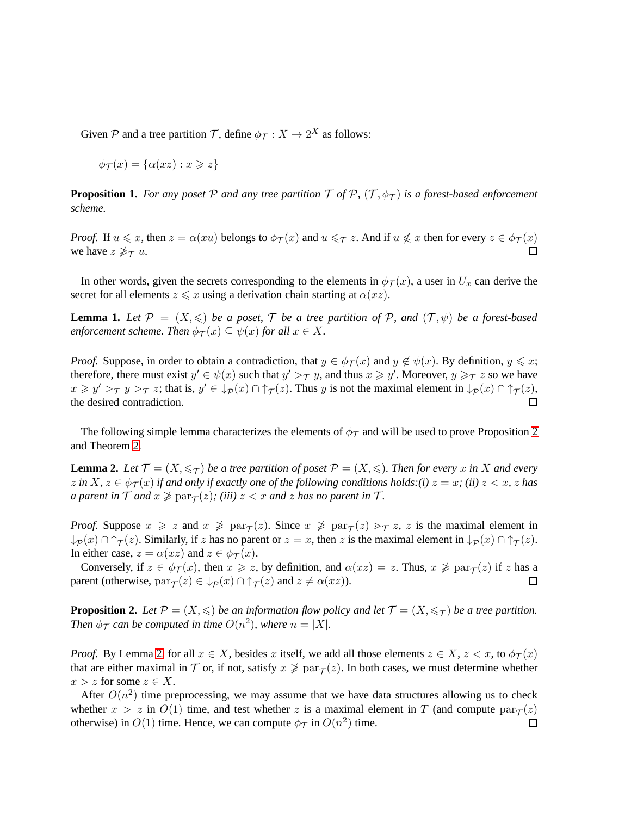Given P and a tree partition T, define  $\phi_{\mathcal{T}} : X \to 2^X$  as follows:

$$
\phi_{\mathcal{T}}(x) = \{\alpha(xz) : x \geqslant z\}
$$

**Proposition 1.** *For any poset* P *and any tree partition*  $\mathcal{T}$  *of*  $\mathcal{P}$ *,*  $(\mathcal{T}, \phi_{\mathcal{T}})$  *is a forest-based enforcement scheme.*

*Proof.* If  $u \leq x$ , then  $z = \alpha(xu)$  belongs to  $\phi_T(x)$  and  $u \leq T z$ . And if  $u \nleq x$  then for every  $z \in \phi_T(x)$ we have  $z \not\geq_T u$ . П

In other words, given the secrets corresponding to the elements in  $\phi_T(x)$ , a user in  $U_x$  can derive the secret for all elements  $z \leq x$  using a derivation chain starting at  $\alpha(xz)$ .

<span id="page-9-2"></span>**Lemma 1.** Let  $\mathcal{P} = (X, \leqslant)$  *be a poset,*  $\mathcal{T}$  *be a tree partition of*  $\mathcal{P}$ *, and*  $(\mathcal{T}, \psi)$  *be a forest-based enforcement scheme. Then*  $\phi_{\mathcal{T}}(x) \subseteq \psi(x)$  *for all*  $x \in X$ .

*Proof.* Suppose, in order to obtain a contradiction, that  $y \in \phi_T(x)$  and  $y \notin \psi(x)$ . By definition,  $y \leq x$ ; therefore, there must exist  $y' \in \psi(x)$  such that  $y' >_\mathcal{T} y$ , and thus  $x \geq y'$ . Moreover,  $y \geq_\mathcal{T} z$  so we have  $x \geq y' >_\mathcal{T} y >_\mathcal{T} z$ ; that is,  $y' \in \mathcal{L}_{\mathcal{P}}(x) \cap \uparrow_{\mathcal{T}}(z)$ . Thus y is not the maximal element in  $\mathcal{L}_{\mathcal{P}}(x) \cap \uparrow_{\mathcal{T}}(z)$ , the desired contradiction.  $\Box$ 

The following simple lemma characterizes the elements of  $\phi_{\mathcal{T}}$  and will be used to prove Proposition [2](#page-9-0) and Theorem [2.](#page-15-0)

<span id="page-9-1"></span>**Lemma 2.** Let  $\mathcal{T} = (X, \leq_T)$  be a tree partition of poset  $\mathcal{P} = (X, \leqslant)$ . Then for every x in X and every  $z$  in  $X, z \in \phi_{\mathcal{T}}(x)$  if and only if exactly one of the following conditions holds:(i)  $z = x$ ; (ii)  $z < x$ ,  $z$  has *a parent in*  $\mathcal T$  *and*  $x \ngeq \text{par}_{\mathcal T}(z)$ ; (iii)  $z < x$  *and*  $z$  *has no parent in*  $\mathcal T$ *.* 

*Proof.* Suppose  $x \geq z$  and  $x \not\geq \text{par}_{\mathcal{T}}(z)$ . Since  $x \not\geq \text{par}_{\mathcal{T}}(z) \geq \tau z$ , z is the maximal element in  $\downarrow_{\mathcal{P}}(x) \cap \uparrow_{\mathcal{T}}(z)$ . Similarly, if z has no parent or  $z = x$ , then z is the maximal element in  $\downarrow_{\mathcal{P}}(x) \cap \uparrow_{\mathcal{T}}(z)$ . In either case,  $z = \alpha(xz)$  and  $z \in \phi_{\mathcal{T}}(x)$ .

Conversely, if  $z \in \phi_{\mathcal{T}}(x)$ , then  $x \geq z$ , by definition, and  $\alpha(xz) = z$ . Thus,  $x \not\geq \text{par}_{\mathcal{T}}(z)$  if z has a parent (otherwise,  $\text{par}_{\mathcal{T}}(z) \in \downarrow_{\mathcal{P}}(x) \cap \uparrow_{\mathcal{T}}(z)$  and  $z \neq \alpha(xz)$ ).  $\Box$ 

<span id="page-9-0"></span>**Proposition 2.** Let  $\mathcal{P} = (X, \leqslant)$  be an information flow policy and let  $\mathcal{T} = (X, \leqslant_{\mathcal{T}})$  be a tree partition. *Then*  $\phi_{\mathcal{T}}$  *can be computed in time*  $O(n^2)$ *, where*  $n = |X|$ *.* 

*Proof.* By Lemma [2,](#page-9-1) for all  $x \in X$ , besides x itself, we add all those elements  $z \in X$ ,  $z < x$ , to  $\phi_{\mathcal{T}}(x)$ that are either maximal in  $\mathcal T$  or, if not, satisfy  $x \not\geq \text{par}_{\mathcal T}(z)$ . In both cases, we must determine whether  $x > z$  for some  $z \in X$ .

After  $O(n^2)$  time preprocessing, we may assume that we have data structures allowing us to check whether  $x > z$  in  $O(1)$  time, and test whether z is a maximal element in T (and compute  $\text{par}_{\mathcal{T}}(z)$ otherwise) in  $O(1)$  time. Hence, we can compute  $\phi_{\mathcal{T}}$  in  $O(n^2)$  time.  $\Box$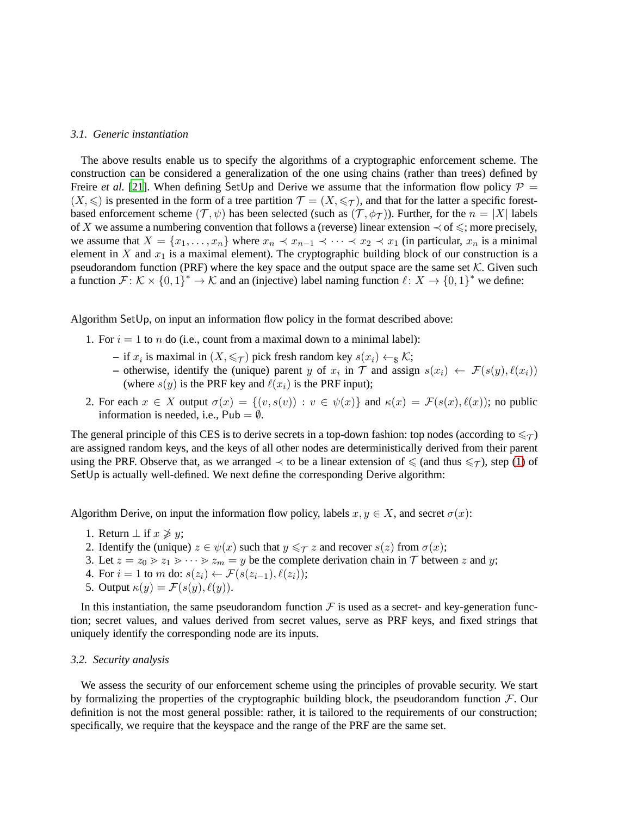# *3.1. Generic instantiation*

The above results enable us to specify the algorithms of a cryptographic enforcement scheme. The construction can be considered a generalization of the one using chains (rather than trees) defined by Freire *et al.* [\[21](#page-23-6)]. When defining SetUp and Derive we assume that the information flow policy  $P =$  $(X, \leqslant)$  is presented in the form of a tree partition  $\mathcal{T} = (X, \leqslant_{\mathcal{T}})$ , and that for the latter a specific forestbased enforcement scheme  $(\mathcal{T}, \psi)$  has been selected (such as  $(\mathcal{T}, \phi_{\mathcal{T}})$ ). Further, for the  $n = |X|$  labels of X we assume a numbering convention that follows a (reverse) linear extension  $\prec$  of  $\leq$ ; more precisely, we assume that  $X = \{x_1, \ldots, x_n\}$  where  $x_n \prec x_{n-1} \prec \cdots \prec x_2 \prec x_1$  (in particular,  $x_n$  is a minimal element in  $X$  and  $x_1$  is a maximal element). The cryptographic building block of our construction is a pseudorandom function (PRF) where the key space and the output space are the same set  $K$ . Given such a function  $\mathcal{F} \colon \mathcal{K} \times \{0,1\}^* \to \mathcal{K}$  and an (injective) label naming function  $\ell \colon X \to \{0,1\}^*$  we define:

<span id="page-10-1"></span>Algorithm SetUp, on input an information flow policy in the format described above:

- 1. For  $i = 1$  to *n* do (i.e., count from a maximal down to a minimal label):
	- **−** if  $x_i$  is maximal in  $(X, \leq \tau)$  pick fresh random key  $s(x_i) \leftarrow_{\mathcal{S}} \mathcal{K}$ ;
	- **–** otherwise, identify the (unique) parent y of  $x_i$  in  $\mathcal{T}$  and assign  $s(x_i) \leftarrow \mathcal{F}(s(y), \ell(x_i))$ (where  $s(y)$  is the PRF key and  $\ell(x_i)$  is the PRF input);
- 2. For each  $x \in X$  output  $\sigma(x) = \{(v, s(v)) : v \in \psi(x)\}\$  and  $\kappa(x) = \mathcal{F}(s(x), \ell(x))$ ; no public information is needed, i.e.,  $Pub = ∅$ .

The general principle of this CES is to derive secrets in a top-down fashion: top nodes (according to  $\leq \tau$ ) are assigned random keys, and the keys of all other nodes are deterministically derived from their parent using the PRF. Observe that, as we arranged  $\prec$  to be a linear extension of  $\leq$  (and thus  $\leq \tau$ ), step [\(1\)](#page-10-1) of SetUp is actually well-defined. We next define the corresponding Derive algorithm:

Algorithm Derive, on input the information flow policy, labels  $x, y \in X$ , and secret  $\sigma(x)$ :

- 1. Return  $\perp$  if  $x \not\geq y$ ;
- 2. Identify the (unique)  $z \in \psi(x)$  such that  $y \leq \tau z$  and recover  $s(z)$  from  $\sigma(x)$ ;
- 3. Let  $z = z_0 > z_1 > \cdots > z_m = y$  be the complete derivation chain in  $\mathcal T$  between  $z$  and  $y$ ;
- 4. For  $i = 1$  to m do:  $s(z_i) \leftarrow \mathcal{F}(s(z_{i-1}), \ell(z_i));$
- 5. Output  $\kappa(y) = \mathcal{F}(s(y), \ell(y)).$

In this instantiation, the same pseudorandom function  $\mathcal F$  is used as a secret- and key-generation function; secret values, and values derived from secret values, serve as PRF keys, and fixed strings that uniquely identify the corresponding node are its inputs.

# <span id="page-10-0"></span>*3.2. Security analysis*

We assess the security of our enforcement scheme using the principles of provable security. We start by formalizing the properties of the cryptographic building block, the pseudorandom function  $\mathcal{F}$ . Our definition is not the most general possible: rather, it is tailored to the requirements of our construction; specifically, we require that the keyspace and the range of the PRF are the same set.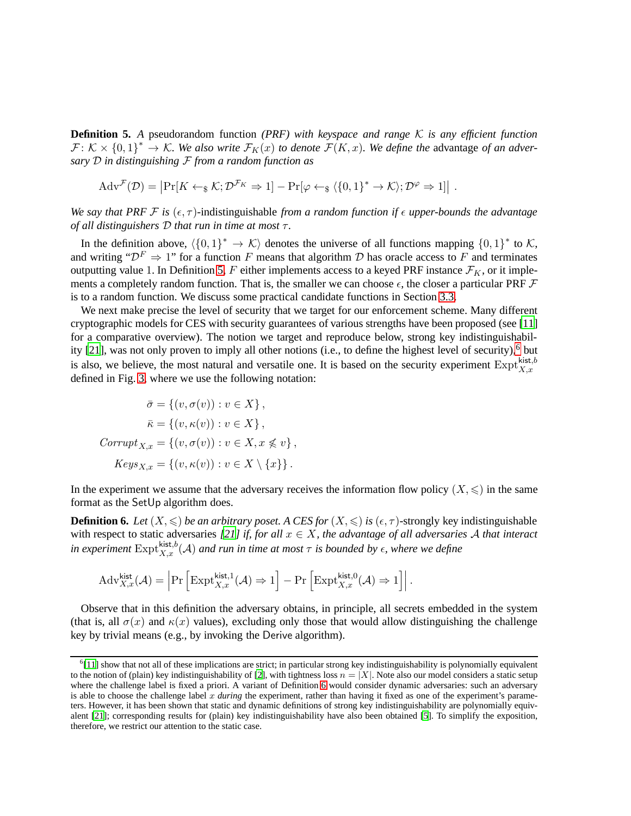<span id="page-11-0"></span>**Definition 5.** *A* pseudorandom function *(PRF) with keyspace and range* K *is any efficient function*  $\mathcal{F}: \mathcal{K} \times \{0,1\}^* \to \mathcal{K}$ . We also write  $\mathcal{F}_K(x)$  to denote  $\mathcal{F}(K,x)$ . We define the advantage of an adver*sary* D *in distinguishing* F *from a random function as*

$$
Adv^{\mathcal{F}}(\mathcal{D}) = \left| \Pr[K \leftarrow_{\$} \mathcal{K}; \mathcal{D}^{\mathcal{F}_K} \Rightarrow 1] - \Pr[\varphi \leftarrow_{\$} \langle \{0, 1\}^* \rightarrow \mathcal{K} \rangle; \mathcal{D}^{\varphi} \Rightarrow 1] \right| .
$$

*We say that PRF F is*  $(\epsilon, \tau)$ -indistinguishable *from a random function if*  $\epsilon$  *upper-bounds the advantage of all distinguishers* D *that run in time at most* τ *.*

In the definition above,  $\langle \{0, 1\}^* \to \mathcal{K} \rangle$  denotes the universe of all functions mapping  $\{0, 1\}^*$  to K, and writing " $\mathcal{D}^F \Rightarrow 1$ " for a function F means that algorithm D has oracle access to F and terminates outputting value 1. In Definition [5,](#page-11-0) F either implements access to a keyed PRF instance  $\mathcal{F}_K$ , or it implements a completely random function. That is, the smaller we can choose  $\epsilon$ , the closer a particular PRF  $\mathcal F$ is to a random function. We discuss some practical candidate functions in Section [3.3.](#page-13-0)

We next make precise the level of security that we target for our enforcement scheme. Many different cryptographic models for CES with security guarantees of various strengths have been proposed (see [\[11](#page-23-11)] for a comparative overview). The notion we target and reproduce below, strong key indistinguishabil-ity [\[21](#page-23-6)], was not only proven to imply all other notions (i.e., to define the highest level of security),<sup>[6](#page-11-1)</sup> but is also, we believe, the most natural and versatile one. It is based on the security experiment  $\text{Expt}_{X,x}^{\text{kist},b}$ defined in Fig. [3,](#page-12-0) where we use the following notation:

$$
\bar{\sigma} = \{(v, \sigma(v)) : v \in X\},
$$

$$
\bar{\kappa} = \{(v, \kappa(v)) : v \in X\},
$$

$$
Corrupt_{X,x} = \{(v, \sigma(v)) : v \in X, x \nleq v\},
$$

$$
Keys_{X,x} = \{(v, \kappa(v)) : v \in X \setminus \{x\}\}.
$$

In the experiment we assume that the adversary receives the information flow policy  $(X, \leqslant)$  in the same format as the SetUp algorithm does.

<span id="page-11-2"></span>**Definition 6.** *Let*  $(X, \leq)$  *be an arbitrary poset. A CES for*  $(X, \leq)$  *is*  $(\epsilon, \tau)$ -strongly key indistinguishable with respect to static adversaries [\[21\]](#page-23-6) if, for all  $x \in X$ , the advantage of all adversaries A that interact *in experiment*  $\text{Expt}_{X,x}^{\text{kist},b}(\mathcal{A})$  *and run in time at most*  $\tau$  *is bounded by*  $\epsilon$ *, where we define* 

$$
\mathrm{Adv}_{X,x}^{\mathsf{kist}}(\mathcal{A})=\Big|\mathrm{Pr}\left[\mathrm{Expt}_{X,x}^{\mathsf{kist},1}(\mathcal{A}) \Rightarrow 1\right]-\mathrm{Pr}\left[\mathrm{Expt}_{X,x}^{\mathsf{kist},0}(\mathcal{A}) \Rightarrow 1\right]\Big|\,.
$$

Observe that in this definition the adversary obtains, in principle, all secrets embedded in the system (that is, all  $\sigma(x)$  and  $\kappa(x)$  values), excluding only those that would allow distinguishing the challenge key by trivial means (e.g., by invoking the Derive algorithm).

<span id="page-11-1"></span><sup>6</sup> [\[11\]](#page-23-11) show that not all of these implications are strict; in particular strong key indistinguishability is polynomially equivalent to the notion of (plain) key indistinguishability of [\[2](#page-22-3)], with tightness loss  $n = |X|$ . Note also our model considers a static setup where the challenge label is fixed a priori. A variant of Definition [6](#page-11-2) would consider dynamic adversaries: such an adversary is able to choose the challenge label x *during* the experiment, rather than having it fixed as one of the experiment's parameters. However, it has been shown that static and dynamic definitions of strong key indistinguishability are polynomially equivalent [\[21\]](#page-23-6); corresponding results for (plain) key indistinguishability have also been obtained [\[5\]](#page-22-6). To simplify the exposition, therefore, we restrict our attention to the static case.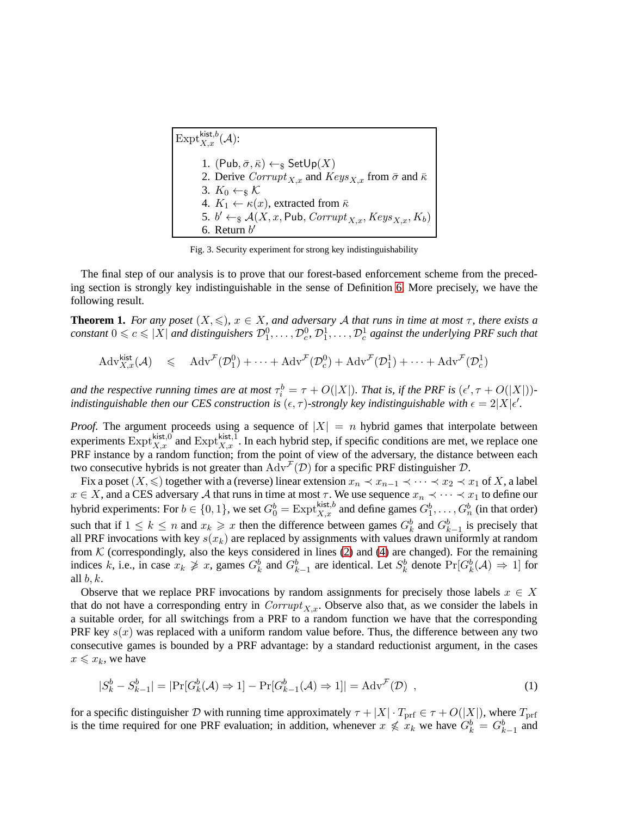<span id="page-12-4"></span><span id="page-12-2"></span><span id="page-12-1"></span><span id="page-12-0"></span>

| $\big \operatorname{Expt}_{X.x}^{\mathsf{kist},b}(\mathcal{A})\big $                                |
|-----------------------------------------------------------------------------------------------------|
| 1. $(Pub, \bar{σ}, \bar{κ}) \leftarrow_$ g SetUp(X)                                                 |
| 2. Derive Corrupt $_{X,x}$ and $Keys_{X,x}$ from $\bar{\sigma}$ and $\bar{\kappa}$                  |
| 3. $K_0 \leftarrow_{\mathbb{S}} \mathcal{K}$                                                        |
| 4. $K_1 \leftarrow \kappa(x)$ , extracted from $\bar{\kappa}$                                       |
| 5. $b' \leftarrow_{\mathbb{S}} A(X, x, \text{Pub}, \text{Corrupt}_{X, x}, \text{Keys}_{X, x}, K_b)$ |
| 6. Return $b'$                                                                                      |

Fig. 3. Security experiment for strong key indistinguishability

The final step of our analysis is to prove that our forest-based enforcement scheme from the preceding section is strongly key indistinguishable in the sense of Definition [6.](#page-11-2) More precisely, we have the following result.

**Theorem 1.** *For any poset*  $(X, \leqslant)$ ,  $x \in X$ , and adversary A that runs in time at most  $\tau$ , there exists a  $constant\ 0 \leqslant c \leqslant |X|$  and distinguishers  $\mathcal{D}_1^0,\ldots,\mathcal{D}_c^0$ ,  $\mathcal{D}_1^1,\ldots,\mathcal{D}_c^1$  against the underlying PRF such that

 $\mathrm{Adv}_{X,x}^{\mathsf{kist}}(\mathcal{A}) \leq \mathrm{Adv}^{\mathcal{F}}(\mathcal{D}_1^0) + \cdots + \mathrm{Adv}^{\mathcal{F}}(\mathcal{D}_c^0) + \mathrm{Adv}^{\mathcal{F}}(\mathcal{D}_1^1) + \cdots + \mathrm{Adv}^{\mathcal{F}}(\mathcal{D}_c^1)$ 

and the respective running times are at most  $\tau_i^b = \tau + O(|X|)$ . That is, if the PRF is  $(\epsilon', \tau + O(|X|))$ *indistinguishable then our CES construction is*  $(\epsilon, \tau)$ -strongly key indistinguishable with  $\epsilon = 2|X|\epsilon'$ .

*Proof.* The argument proceeds using a sequence of  $|X| = n$  hybrid games that interpolate between experiments  $\text{Expt}_{X,x}^{\text{kist},0}$  and  $\text{Expt}_{X,x}^{\text{kist},1}$ . In each hybrid step, if specific conditions are met, we replace one PRF instance by a random function; from the point of view of the adversary, the distance between each two consecutive hybrids is not greater than  $\widehat{Adv}^{\mathcal{F}}(\mathcal{D})$  for a specific PRF distinguisher  $\mathcal{D}$ .

Fix a poset  $(X, \leq)$  together with a (reverse) linear extension  $x_n \prec x_{n-1} \prec \cdots \prec x_2 \prec x_1$  of X, a label  $x \in X$ , and a CES adversary A that runs in time at most  $\tau$ . We use sequence  $x_n \prec \cdots \prec x_1$  to define our hybrid experiments: For  $b \in \{0, 1\}$ , we set  $G_0^b = \text{Expt}_{X,x}^{\text{kist},b}$  and define games  $G_1^b, \ldots, G_n^b$  (in that order) such that if  $1 \leq k \leq n$  and  $x_k \geq x$  then the difference between games  $G_k^b$  and  $G_{k-1}^b$  is precisely that all PRF invocations with key  $s(x_k)$  are replaced by assignments with values drawn uniformly at random from  $K$  (correspondingly, also the keys considered in lines [\(2\)](#page-12-1) and [\(4\)](#page-12-2) are changed). For the remaining indices k, i.e., in case  $x_k \ngeq x$ , games  $G_k^b$  and  $G_{k-1}^b$  are identical. Let  $S_k^b$  denote  $Pr[G_k^b(\mathcal{A}) \Rightarrow 1]$  for all  $b, k$ .

Observe that we replace PRF invocations by random assignments for precisely those labels  $x \in X$ that do not have a corresponding entry in  $Corrupt_{X,x}$ . Observe also that, as we consider the labels in a suitable order, for all switchings from a PRF to a random function we have that the corresponding PRF key  $s(x)$  was replaced with a uniform random value before. Thus, the difference between any two consecutive games is bounded by a PRF advantage: by a standard reductionist argument, in the cases  $x \leq x_k$ , we have

<span id="page-12-3"></span>
$$
|S_k^b - S_{k-1}^b| = |\Pr[G_k^b(\mathcal{A}) \Rightarrow 1] - \Pr[G_{k-1}^b(\mathcal{A}) \Rightarrow 1]| = \text{Adv}^{\mathcal{F}}(\mathcal{D}) ,
$$
\n(1)

for a specific distinguisher D with running time approximately  $\tau + |X| \cdot T_{\text{prf}} \in \tau + O(|X|)$ , where  $T_{\text{prf}}$ is the time required for one PRF evaluation; in addition, whenever  $x \nless x_k$  we have  $G_k^b = G_{k-1}^b$  and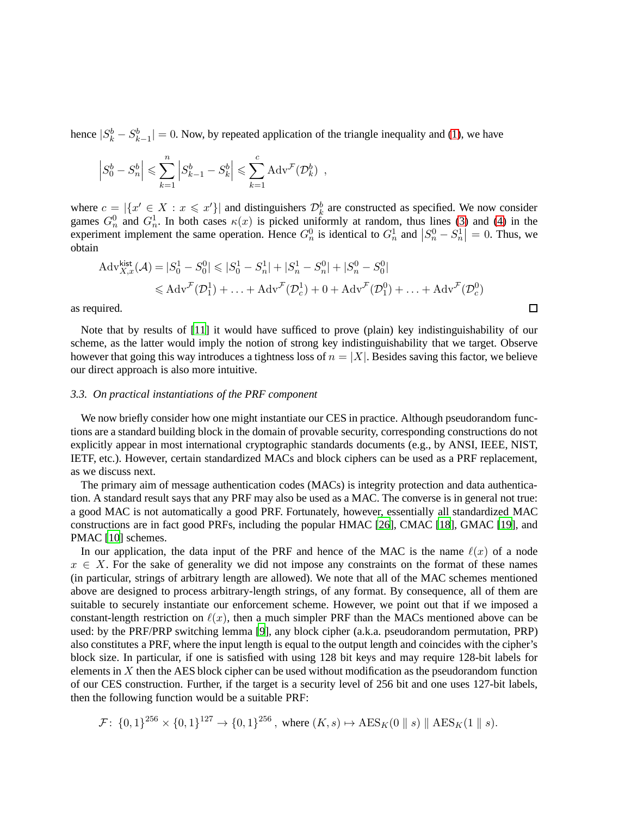hence  $|S_k^b - S_{k-1}^b| = 0$ . Now, by repeated application of the triangle inequality and [\(1\)](#page-12-3), we have

$$
\left| S_0^b - S_n^b \right| \leqslant \sum_{k=1}^n \left| S_{k-1}^b - S_k^b \right| \leqslant \sum_{k=1}^c \mathrm{Adv}^{\mathcal{F}}(\mathcal{D}_k^b) ,
$$

where  $c = |\{x' \in X : x \leq x'\}|$  and distinguishers  $\mathcal{D}_k^b$  are constructed as specified. We now consider games  $G_n^0$  and  $G_n^1$ . In both cases  $\kappa(x)$  is picked uniformly at random, thus lines [\(3\)](#page-12-4) and [\(4\)](#page-12-2) in the experiment implement the same operation. Hence  $G_n^0$  is identical to  $G_n^1$  and  $|S_n^0 - S_n^1| = 0$ . Thus, we obtain

$$
Adv_{X,x}^{\text{kist}}(\mathcal{A}) = |S_0^1 - S_0^0| \leq |S_0^1 - S_n^1| + |S_n^1 - S_n^0| + |S_n^0 - S_0^0|
$$
  

$$
\leq A dv^{\mathcal{F}}(\mathcal{D}_1^1) + ... + A dv^{\mathcal{F}}(\mathcal{D}_c^1) + 0 + A dv^{\mathcal{F}}(\mathcal{D}_1^0) + ... + A dv^{\mathcal{F}}(\mathcal{D}_c^0)
$$

 $\Box$ 

as required.

Note that by results of [\[11\]](#page-23-11) it would have sufficed to prove (plain) key indistinguishability of our scheme, as the latter would imply the notion of strong key indistinguishability that we target. Observe however that going this way introduces a tightness loss of  $n = |X|$ . Besides saving this factor, we believe our direct approach is also more intuitive.

### <span id="page-13-0"></span>*3.3. On practical instantiations of the PRF component*

We now briefly consider how one might instantiate our CES in practice. Although pseudorandom functions are a standard building block in the domain of provable security, corresponding constructions do not explicitly appear in most international cryptographic standards documents (e.g., by ANSI, IEEE, NIST, IETF, etc.). However, certain standardized MACs and block ciphers can be used as a PRF replacement, as we discuss next.

The primary aim of message authentication codes (MACs) is integrity protection and data authentication. A standard result says that any PRF may also be used as a MAC. The converse is in general not true: a good MAC is not automatically a good PRF. Fortunately, however, essentially all standardized MAC constructions are in fact good PRFs, including the popular HMAC [\[26](#page-23-12)], CMAC [\[18](#page-23-13)], GMAC [\[19\]](#page-23-14), and PMAC [\[10](#page-23-15)] schemes.

In our application, the data input of the PRF and hence of the MAC is the name  $\ell(x)$  of a node  $x \in X$ . For the sake of generality we did not impose any constraints on the format of these names (in particular, strings of arbitrary length are allowed). We note that all of the MAC schemes mentioned above are designed to process arbitrary-length strings, of any format. By consequence, all of them are suitable to securely instantiate our enforcement scheme. However, we point out that if we imposed a constant-length restriction on  $\ell(x)$ , then a much simpler PRF than the MACs mentioned above can be used: by the PRF/PRP switching lemma [\[9](#page-22-8)], any block cipher (a.k.a. pseudorandom permutation, PRP) also constitutes a PRF, where the input length is equal to the output length and coincides with the cipher's block size. In particular, if one is satisfied with using 128 bit keys and may require 128-bit labels for elements in  $X$  then the AES block cipher can be used without modification as the pseudorandom function of our CES construction. Further, if the target is a security level of 256 bit and one uses 127-bit labels, then the following function would be a suitable PRF:

$$
\mathcal{F} \colon \{0,1\}^{256} \times \{0,1\}^{127} \to \{0,1\}^{256}, \text{ where } (K,s) \mapsto \text{AES}_K(0 \parallel s) \parallel \text{AES}_K(1 \parallel s).
$$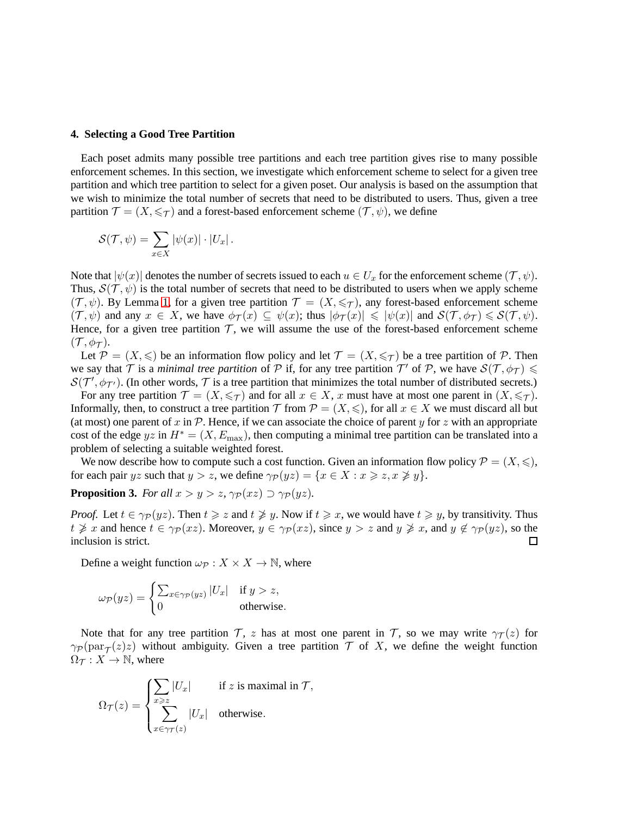# <span id="page-14-0"></span>**4. Selecting a Good Tree Partition**

Each poset admits many possible tree partitions and each tree partition gives rise to many possible enforcement schemes. In this section, we investigate which enforcement scheme to select for a given tree partition and which tree partition to select for a given poset. Our analysis is based on the assumption that we wish to minimize the total number of secrets that need to be distributed to users. Thus, given a tree partition  $\mathcal{T} = (X, \leq \tau)$  and a forest-based enforcement scheme  $(\mathcal{T}, \psi)$ , we define

$$
\mathcal{S}(\mathcal{T},\psi) = \sum_{x \in X} |\psi(x)| \cdot |U_x|.
$$

Note that  $|\psi(x)|$  denotes the number of secrets issued to each  $u \in U_x$  for the enforcement scheme  $(\mathcal{T}, \psi)$ . Thus,  $S(\mathcal{T}, \psi)$  is the total number of secrets that need to be distributed to users when we apply scheme  $(\mathcal{T}, \psi)$ . By Lemma [1,](#page-9-2) for a given tree partition  $\mathcal{T} = (X, \leq_T)$ , any forest-based enforcement scheme  $(\mathcal{T}, \psi)$  and any  $x \in X$ , we have  $\phi_{\mathcal{T}}(x) \subseteq \psi(x)$ ; thus  $|\phi_{\mathcal{T}}(x)| \leq |\psi(x)|$  and  $\mathcal{S}(\mathcal{T}, \phi_{\mathcal{T}}) \leq \mathcal{S}(\mathcal{T}, \psi)$ . Hence, for a given tree partition  $\mathcal{T}$ , we will assume the use of the forest-based enforcement scheme  $({\cal T},\phi_{\cal T}).$ 

Let  $\mathcal{P} = (X, \leq)$  be an information flow policy and let  $\mathcal{T} = (X, \leq \tau)$  be a tree partition of  $\mathcal{P}$ . Then we say that  $\mathcal T$  is a *minimal tree partition* of  $\mathcal P$  if, for any tree partition  $\mathcal T'$  of  $\mathcal P$ , we have  $\mathcal S(\mathcal T,\phi_{\mathcal T})\leqslant\mathcal T$  $S(\mathcal{T}', \phi_{\mathcal{T}'})$ . (In other words,  $\mathcal T$  is a tree partition that minimizes the total number of distributed secrets.)

For any tree partition  $\mathcal{T} = (X, \leq \tau)$  and for all  $x \in X$ , x must have at most one parent in  $(X, \leq \tau)$ . Informally, then, to construct a tree partition  $\mathcal T$  from  $\mathcal P = (X, \leqslant)$ , for all  $x \in X$  we must discard all but (at most) one parent of x in  $\mathcal P$ . Hence, if we can associate the choice of parent y for z with an appropriate cost of the edge yz in  $H^* = (X, E_{\text{max}})$ , then computing a minimal tree partition can be translated into a problem of selecting a suitable weighted forest.

We now describe how to compute such a cost function. Given an information flow policy  $\mathcal{P} = (X, \leqslant),$ for each pair yz such that  $y > z$ , we define  $\gamma_P(yz) = \{x \in X : x \geq z, x \not\geq y\}.$ 

<span id="page-14-1"></span>**Proposition 3.** *For all*  $x > y > z$ ,  $\gamma_P(xz) \supset \gamma_P(yz)$ *.* 

*Proof.* Let  $t \in \gamma_{\mathcal{P}}(yz)$ . Then  $t \geq z$  and  $t \not\geq y$ . Now if  $t \geq x$ , we would have  $t \geq y$ , by transitivity. Thus  $t \not\geq x$  and hence  $t \in \gamma_{\mathcal{P}}(xz)$ . Moreover,  $y \in \gamma_{\mathcal{P}}(xz)$ , since  $y > z$  and  $y \not\geq x$ , and  $y \not\in \gamma_{\mathcal{P}}(yz)$ , so the inclusion is strict.  $\Box$ 

Define a weight function  $\omega_{\mathcal{P}} : X \times X \to \mathbb{N}$ , where

$$
\omega_{\mathcal{P}}(yz) = \begin{cases} \sum_{x \in \gamma_{\mathcal{P}}(yz)} |U_x| & \text{if } y > z, \\ 0 & \text{otherwise.} \end{cases}
$$

Note that for any tree partition  $\mathcal{T}$ , z has at most one parent in  $\mathcal{T}$ , so we may write  $\gamma_{\mathcal{T}}(z)$  for  $\gamma_P(\text{par}_{\mathcal{T}}(z)z)$  without ambiguity. Given a tree partition  $\mathcal T$  of X, we define the weight function  $\Omega_{\mathcal{T}} : X \to \mathbb{N}$ , where

$$
\Omega_{\mathcal{T}}(z) = \begin{cases} \sum_{x \geq z} |U_x| & \text{if } z \text{ is maximal in } \mathcal{T}, \\ \sum_{x \in \gamma_{\mathcal{T}}(z)} |U_x| & \text{otherwise.} \end{cases}
$$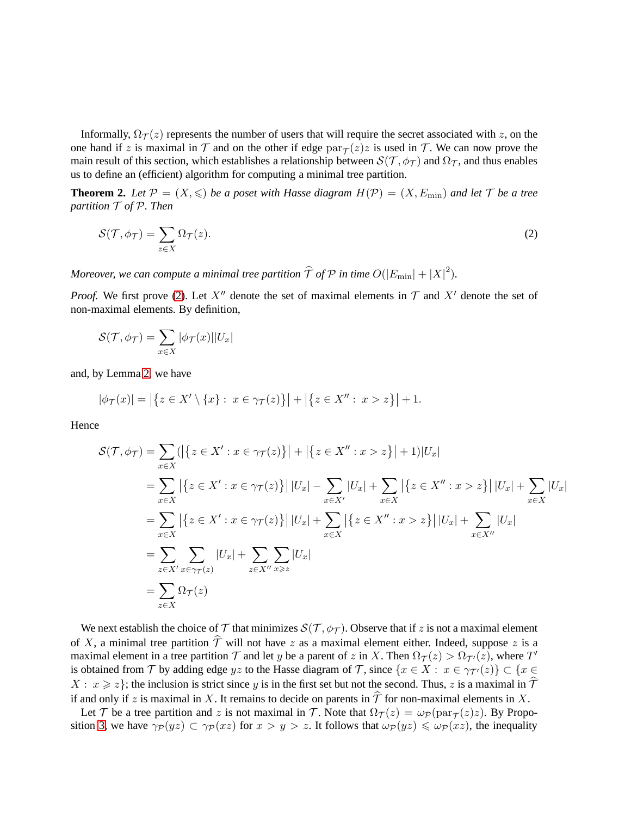Informally,  $\Omega_{\mathcal{T}}(z)$  represents the number of users that will require the secret associated with z, on the one hand if z is maximal in  $T$  and on the other if edge  $\text{par}_{T}(z)z$  is used in  $T$ . We can now prove the main result of this section, which establishes a relationship between  $S(\mathcal{T}, \phi_{\mathcal{T}})$  and  $\Omega_{\mathcal{T}}$ , and thus enables us to define an (efficient) algorithm for computing a minimal tree partition.

<span id="page-15-0"></span>**Theorem 2.** Let  $\mathcal{P} = (X, \leq)$  be a poset with Hasse diagram  $H(\mathcal{P}) = (X, E_{\min})$  and let  $\mathcal{T}$  be a tree *partition* T *of* P*. Then*

<span id="page-15-1"></span>
$$
\mathcal{S}(\mathcal{T}, \phi_{\mathcal{T}}) = \sum_{z \in X} \Omega_{\mathcal{T}}(z). \tag{2}
$$

*Moreover, we can compute a minimal tree partition*  $\widehat{\mathcal{T}}$  *of*  $\mathcal{P}$  *in time*  $O(|E_{\min}| + |X|^2)$ *.* 

*Proof.* We first prove [\(2\)](#page-15-1). Let X'' denote the set of maximal elements in  $\mathcal T$  and X' denote the set of non-maximal elements. By definition,

$$
\mathcal{S}(\mathcal{T}, \phi_{\mathcal{T}}) = \sum_{x \in X} |\phi_{\mathcal{T}}(x)||U_x|
$$

and, by Lemma [2,](#page-9-1) we have

$$
|\phi_{\mathcal{T}}(x)| = |\{ z \in X' \setminus \{x\} : x \in \gamma_{\mathcal{T}}(z)\}| + |\{ z \in X'' : x > z\}| + 1.
$$

Hence

$$
\mathcal{S}(\mathcal{T}, \phi_{\mathcal{T}}) = \sum_{x \in X} (|\{z \in X' : x \in \gamma_{\mathcal{T}}(z)\}| + |\{z \in X'' : x > z\}| + 1)|U_x| \n= \sum_{x \in X} |\{z \in X' : x \in \gamma_{\mathcal{T}}(z)\}| |U_x| - \sum_{x \in X'} |U_x| + \sum_{x \in X} |\{z \in X'' : x > z\}| |U_x| + \sum_{x \in X} |U_x| \n= \sum_{x \in X} |\{z \in X' : x \in \gamma_{\mathcal{T}}(z)\}| |U_x| + \sum_{x \in X} |\{z \in X'' : x > z\}| |U_x| + \sum_{x \in X''} |U_x| \n= \sum_{z \in X'} \sum_{x \in \gamma_{\mathcal{T}}(z)} |U_x| + \sum_{z \in X''} \sum_{x \ge z} |U_x| \n= \sum_{z \in X} \Omega_{\mathcal{T}}(z) \n= \sum_{x \in X} \Omega_{\mathcal{T}}(z)
$$

We next establish the choice of T that minimizes  $S(\mathcal{T}, \phi_{\mathcal{T}})$ . Observe that if z is not a maximal element of X, a minimal tree partition  $\hat{\mathcal{T}}$  will not have z as a maximal element either. Indeed, suppose z is a maximal element in a tree partition  $\mathcal T$  and let y be a parent of z in X. Then  $\Omega_{\mathcal T}(z) > \Omega_{\mathcal T'}(z)$ , where  $T'$ is obtained from T by adding edge yz to the Hasse diagram of T, since  $\{x \in X : x \in \gamma_{T'}(z)\} \subset \{x \in X\}$  $X: x \geqslant z$ ; the inclusion is strict since y is in the first set but not the second. Thus, z is a maximal in  $\hat{\mathcal{T}}$ if and only if z is maximal in X. It remains to decide on parents in  $\hat{\mathcal{T}}$  for non-maximal elements in X.

Let T be a tree partition and z is not maximal in T. Note that  $\Omega_T(z) = \omega_P(\text{par}_T(z)z)$ . By Propo-sition [3,](#page-14-1) we have  $\gamma_P(yz) \subset \gamma_P(xz)$  for  $x > y > z$ . It follows that  $\omega_P(yz) \leq \omega_P(xz)$ , the inequality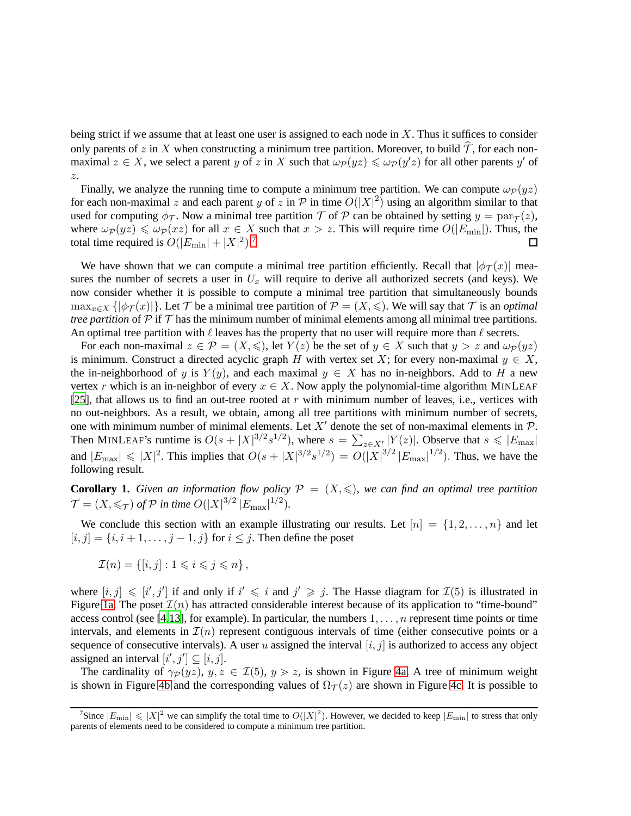being strict if we assume that at least one user is assigned to each node in  $X$ . Thus it suffices to consider only parents of z in X when constructing a minimum tree partition. Moreover, to build  $\tilde{T}$ , for each nonmaximal  $z \in X$ , we select a parent y of z in X such that  $\omega_{\mathcal{P}}(yz) \leq \omega_{\mathcal{P}}(y'z)$  for all other parents y' of z.

Finally, we analyze the running time to compute a minimum tree partition. We can compute  $\omega_{\mathcal{P}}(yz)$ for each non-maximal z and each parent y of z in  $\mathcal P$  in time  $O(|X|^2)$  using an algorithm similar to that used for computing  $\phi_{\mathcal{T}}$ . Now a minimal tree partition  $\mathcal{T}$  of  $\mathcal{P}$  can be obtained by setting  $y = \text{par}_{\mathcal{T}}(z)$ , where  $\omega_{\mathcal{P}}(yz) \leq \omega_{\mathcal{P}}(xz)$  for all  $x \in X$  such that  $x > z$ . This will require time  $O(|E_{\min}|)$ . Thus, the total time required is  $O(|E_{\text{min}}| + |X|^2).$ <sup>[7](#page-16-0)</sup>  $\Box$ 

We have shown that we can compute a minimal tree partition efficiently. Recall that  $|\phi_T(x)|$  measures the number of secrets a user in  $U_x$  will require to derive all authorized secrets (and keys). We now consider whether it is possible to compute a minimal tree partition that simultaneously bounds  $\max_{x \in X} {\{\vert \phi_T(x) \vert\}}$ . Let T be a minimal tree partition of  $\mathcal{P} = (X, \leqslant)$ . We will say that T is an *optimal tree partition* of  $\mathcal P$  if  $\mathcal T$  has the minimum number of minimal elements among all minimal tree partitions. An optimal tree partition with  $\ell$  leaves has the property that no user will require more than  $\ell$  secrets.

For each non-maximal  $z \in \mathcal{P} = (X, \leqslant)$ , let  $Y(z)$  be the set of  $y \in X$  such that  $y > z$  and  $\omega_{\mathcal{P}}(yz)$ is minimum. Construct a directed acyclic graph H with vertex set X; for every non-maximal  $y \in X$ , the in-neighborhood of y is  $Y(y)$ , and each maximal  $y \in X$  has no in-neighbors. Add to H a new vertex r which is an in-neighbor of every  $x \in X$ . Now apply the polynomial-time algorithm MINLEAF [\[25](#page-23-16)], that allows us to find an out-tree rooted at r with minimum number of leaves, i.e., vertices with no out-neighbors. As a result, we obtain, among all tree partitions with minimum number of secrets, one with minimum number of minimal elements. Let X' denote the set of non-maximal elements in  $\mathcal{P}$ . Then MINLEAF's runtime is  $O(s+|X|^{3/2}s^{1/2})$ , where  $s=\sum_{z\in X'}|Y(z)|$ . Observe that  $s\leq |E_{\text{max}}|$ and  $|E_{\text{max}}| \leq |X|^2$ . This implies that  $O(s + |X|^{3/2} s^{1/2}) = O(|X|^{3/2} |E_{\text{max}}|^{1/2})$ . Thus, we have the following result.

**Corollary 1.** *Given an information flow policy*  $P = (X, \leq)$ *, we can find an optimal tree partition*  $\mathcal{T} = (X, \leq \tau)$  of  $\mathcal{P}$  in time  $O(|X|^{3/2} |E_{\text{max}}|^{1/2}).$ 

We conclude this section with an example illustrating our results. Let  $[n] = \{1, 2, \ldots, n\}$  and let  $[i, j] = \{i, i + 1, \ldots, j - 1, j\}$  for  $i \leq j$ . Then define the poset

$$
\mathcal{I}(n) = \{ [i, j] : 1 \leq i \leq j \leq n \},\
$$

where  $[i, j] \leq i'$ , j' if and only if  $i' \leq i$  and  $j' \geq j$ . The Hasse diagram for  $\mathcal{I}(5)$  is illustrated in Figure [1a.](#page-4-0) The poset  $\mathcal{I}(n)$  has attracted considerable interest because of its application to "time-bound" access control (see [\[4](#page-22-5)[,13](#page-23-8)], for example). In particular, the numbers  $1, \ldots, n$  represent time points or time intervals, and elements in  $\mathcal{I}(n)$  represent contiguous intervals of time (either consecutive points or a sequence of consecutive intervals). A user  $u$  assigned the interval  $[i, j]$  is authorized to access any object assigned an interval  $[i', j'] \subseteq [i, j]$ .

The cardinality of  $\gamma_P(yz)$ ,  $y, z \in \mathcal{I}(5)$ ,  $y > z$ , is shown in Figure [4a.](#page-17-2) A tree of minimum weight is shown in Figure [4b](#page-17-2) and the corresponding values of  $\Omega_T(z)$  are shown in Figure [4c.](#page-17-2) It is possible to

<span id="page-16-0"></span><sup>&</sup>lt;sup>7</sup>Since  $|E_{\text{min}}| \leq |X|^2$  we can simplify the total time to  $O(|X|^2)$ . However, we decided to keep  $|E_{\text{min}}|$  to stress that only parents of elements need to be considered to compute a minimum tree partition.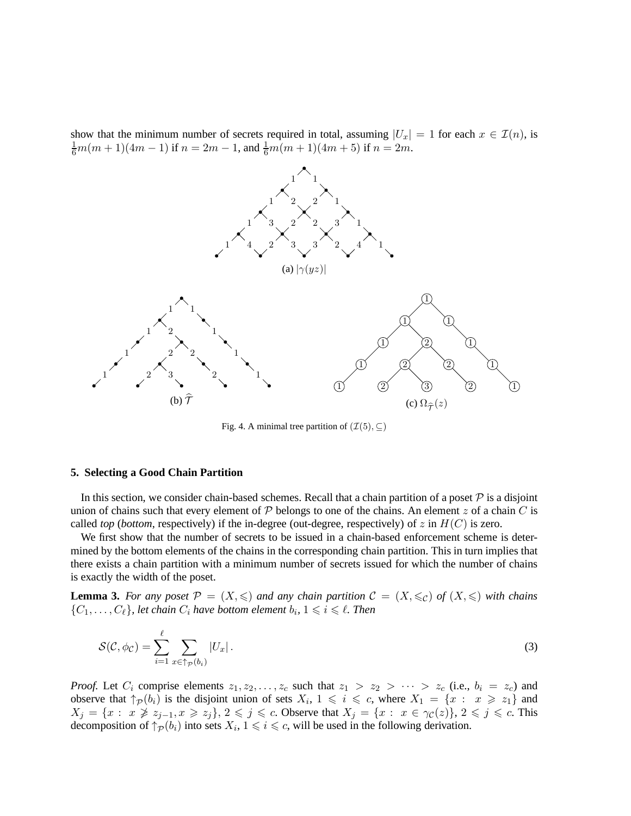show that the minimum number of secrets required in total, assuming  $|U_x| = 1$  for each  $x \in \mathcal{I}(n)$ , is  $\frac{1}{6}m(m+1)(4m-1)$  if  $n = 2m - 1$ , and  $\frac{1}{6}m(m+1)(4m+5)$  if  $n = 2m$ .

<span id="page-17-2"></span>

<span id="page-17-3"></span>Fig. 4. A minimal tree partition of  $(\mathcal{I}(5), \subset)$ 

#### <span id="page-17-0"></span>**5. Selecting a Good Chain Partition**

In this section, we consider chain-based schemes. Recall that a chain partition of a poset  $P$  is a disjoint union of chains such that every element of  $P$  belongs to one of the chains. An element z of a chain C is called *top* (*bottom*, respectively) if the in-degree (out-degree, respectively) of z in  $H(C)$  is zero.

We first show that the number of secrets to be issued in a chain-based enforcement scheme is determined by the bottom elements of the chains in the corresponding chain partition. This in turn implies that there exists a chain partition with a minimum number of secrets issued for which the number of chains is exactly the width of the poset.

<span id="page-17-1"></span>**Lemma 3.** For any poset  $\mathcal{P} = (X, \leq)$  and any chain partition  $\mathcal{C} = (X, \leq_C)$  of  $(X, \leq)$  with chains  $\{C_1, \ldots, C_\ell\}$ , let chain  $C_i$  have bottom element  $b_i$ ,  $1 \leq i \leq \ell$ . Then

$$
\mathcal{S}(\mathcal{C}, \phi_{\mathcal{C}}) = \sum_{i=1}^{\ell} \sum_{x \in \uparrow_{\mathcal{P}}(b_i)} |U_x| \,. \tag{3}
$$

*Proof.* Let  $C_i$  comprise elements  $z_1, z_2, \ldots, z_c$  such that  $z_1 > z_2 > \cdots > z_c$  (i.e.,  $b_i = z_c$ ) and observe that  $\uparrow_{\mathcal{P}}(b_i)$  is the disjoint union of sets  $X_i$ ,  $1 \leq i \leq c$ , where  $X_1 = \{x : x \geq z_1\}$  and  $X_j = \{x : x \not\geq z_{j-1}, x \geq z_j\}, \, 2 \leq j \leq c.$  Observe that  $X_j = \{x : x \in \gamma_{\mathcal{C}}(z)\}, \, 2 \leq j \leq c.$  This decomposition of  $\uparrow_{\mathcal{P}}(b_i)$  into sets  $X_i, 1 \leq i \leq c$ , will be used in the following derivation.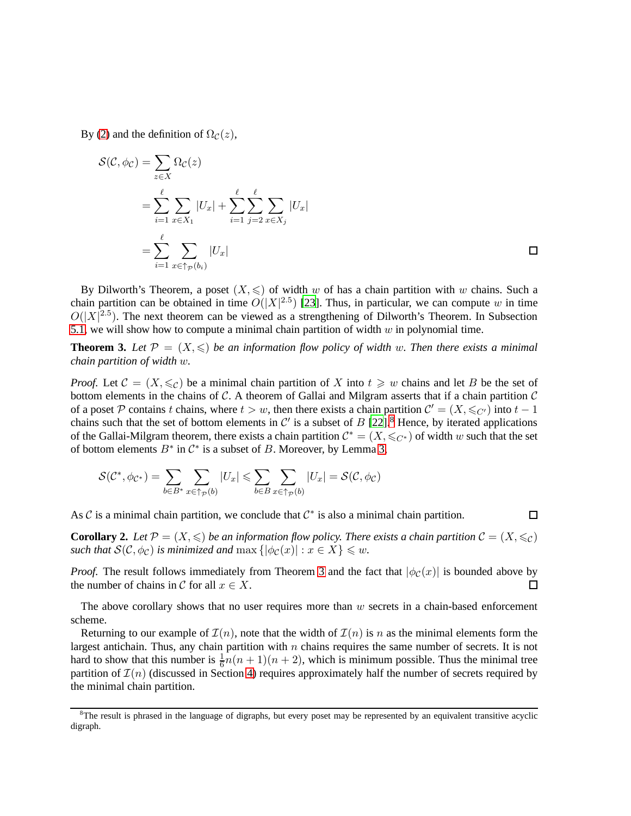By [\(2\)](#page-15-1) and the definition of  $\Omega_{\mathcal{C}}(z)$ ,

$$
S(C, \phi_C) = \sum_{z \in X} \Omega_C(z)
$$
  
= 
$$
\sum_{i=1}^{\ell} \sum_{x \in X_1} |U_x| + \sum_{i=1}^{\ell} \sum_{j=2}^{\ell} \sum_{x \in X_j} |U_x|
$$
  
= 
$$
\sum_{i=1}^{\ell} \sum_{x \in \uparrow_{\mathcal{P}}(b_i)} |U_x|
$$

By Dilworth's Theorem, a poset  $(X, \leq)$  of width w of has a chain partition with w chains. Such a chain partition can be obtained in time  $O(|X|^{2.5})$  [\[23](#page-23-17)]. Thus, in particular, we can compute w in time  $O(|X|^{2.5})$ . The next theorem can be viewed as a strengthening of Dilworth's Theorem. In Subsection [5.1,](#page-19-0) we will show how to compute a minimal chain partition of width  $w$  in polynomial time.

<span id="page-18-0"></span>**Theorem 3.** Let  $\mathcal{P} = (X, \leqslant)$  be an information flow policy of width w. Then there exists a minimal *chain partition of width* w*.*

*Proof.* Let  $C = (X, \leqslant_C)$  be a minimal chain partition of X into  $t \geqslant w$  chains and let B be the set of bottom elements in the chains of C. A theorem of Gallai and Milgram asserts that if a chain partition  $\mathcal C$ of a poset P contains t chains, where  $t > w$ , then there exists a chain partition  $C' = (X, \leq_C)$  into  $t - 1$ chains such that the set of bottom elements in  $\mathcal{C}'$  is a subset of  $B$  [\[22](#page-23-18)].<sup>[8](#page-18-1)</sup> Hence, by iterated applications of the Gallai-Milgram theorem, there exists a chain partition  $\mathcal{C}^* = (X, \leq_C*)$  of width w such that the set of bottom elements  $B^*$  in  $\mathcal{C}^*$  is a subset of B. Moreover, by Lemma [3,](#page-17-1)

$$
\mathcal{S}(\mathcal{C}^*, \phi_{\mathcal{C}^*}) = \sum_{b \in B^*} \sum_{x \in \uparrow_{\mathcal{P}}(b)} |U_x| \leqslant \sum_{b \in B} \sum_{x \in \uparrow_{\mathcal{P}}(b)} |U_x| = \mathcal{S}(\mathcal{C}, \phi_{\mathcal{C}})
$$

As  $\mathcal C$  is a minimal chain partition, we conclude that  $\mathcal C^*$  is also a minimal chain partition.

**Corollary 2.** Let  $\mathcal{P} = (X, \leqslant)$  be an information flow policy. There exists a chain partition  $\mathcal{C} = (X, \leqslant_C)$ *such that*  $S(C, \phi_C)$  *is minimized and* max  $\{|\phi_C(x)| : x \in X\} \leq w$ .

 $\Box$ 

*Proof.* The result follows immediately from Theorem [3](#page-18-0) and the fact that  $|\phi_C(x)|$  is bounded above by the number of chains in C for all  $x \in X$ .  $\Box$ 

The above corollary shows that no user requires more than  $w$  secrets in a chain-based enforcement scheme.

Returning to our example of  $\mathcal{I}(n)$ , note that the width of  $\mathcal{I}(n)$  is n as the minimal elements form the largest antichain. Thus, any chain partition with  $n$  chains requires the same number of secrets. It is not hard to show that this number is  $\frac{1}{6}n(n+1)(n+2)$ , which is minimum possible. Thus the minimal tree partition of  $\mathcal{I}(n)$  (discussed in Section [4\)](#page-14-0) requires approximately half the number of secrets required by the minimal chain partition.

<span id="page-18-1"></span><sup>&</sup>lt;sup>8</sup>The result is phrased in the language of digraphs, but every poset may be represented by an equivalent transitive acyclic digraph.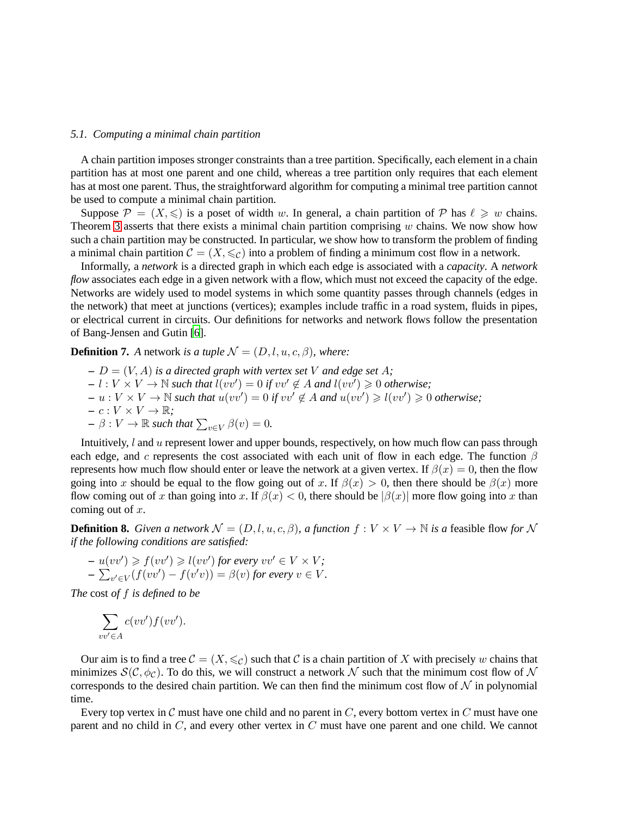# <span id="page-19-0"></span>*5.1. Computing a minimal chain partition*

A chain partition imposes stronger constraints than a tree partition. Specifically, each element in a chain partition has at most one parent and one child, whereas a tree partition only requires that each element has at most one parent. Thus, the straightforward algorithm for computing a minimal tree partition cannot be used to compute a minimal chain partition.

Suppose  $\mathcal{P} = (X, \leqslant)$  is a poset of width w. In general, a chain partition of  $\mathcal{P}$  has  $\ell \geqslant w$  chains. Theorem [3](#page-18-0) asserts that there exists a minimal chain partition comprising  $w$  chains. We now show how such a chain partition may be constructed. In particular, we show how to transform the problem of finding a minimal chain partition  $\mathcal{C} = (X, \leq_{\mathcal{C}})$  into a problem of finding a minimum cost flow in a network.

Informally, a *network* is a directed graph in which each edge is associated with a *capacity*. A *network flow* associates each edge in a given network with a flow, which must not exceed the capacity of the edge. Networks are widely used to model systems in which some quantity passes through channels (edges in the network) that meet at junctions (vertices); examples include traffic in a road system, fluids in pipes, or electrical current in circuits. Our definitions for networks and network flows follow the presentation of Bang-Jensen and Gutin [\[6\]](#page-22-9).

**Definition 7.** *A* network *is a tuple*  $\mathcal{N} = (D, l, u, c, \beta)$ *, where:* 

 $D = (V, A)$  *is a directed graph with vertex set* V *and edge set* A;  $I - l : V \times V \to \mathbb{N}$  *such that*  $l(vv') = 0$  *if*  $vv' \notin A$  *and*  $l(vv') \geq 0$  *otherwise*;  $- u : V \times V \to \mathbb{N}$  *such that*  $u(vv') = 0$  *if*  $vv' \notin A$  *and*  $u(vv') \geqslant l(vv') \geqslant 0$  *otherwise*;  $- c : V \times V \to \mathbb{R}$ ;  $- \beta : V \to \mathbb{R}$  such that  $\sum_{v \in V} \beta(v) = 0$ .

Intuitively,  $l$  and  $u$  represent lower and upper bounds, respectively, on how much flow can pass through each edge, and c represents the cost associated with each unit of flow in each edge. The function  $\beta$ represents how much flow should enter or leave the network at a given vertex. If  $\beta(x) = 0$ , then the flow going into x should be equal to the flow going out of x. If  $\beta(x) > 0$ , then there should be  $\beta(x)$  more flow coming out of x than going into x. If  $\beta(x) < 0$ , there should be  $|\beta(x)|$  more flow going into x than coming out of  $x$ .

**Definition 8.** *Given a network*  $\mathcal{N} = (D, l, u, c, \beta)$ *, a function*  $f: V \times V \rightarrow \mathbb{N}$  *is a* feasible flow *for* N *if the following conditions are satisfied:*

$$
- u(vv') \ge f(vv') \ge l(vv') \text{ for every } vv' \in V \times V; - \sum_{v' \in V} (f(vv') - f(v'v)) = \beta(v) \text{ for every } v \in V.
$$

*The* cost *of* f *is defined to be*

$$
\sum_{vv' \in A} c(vv') f(vv').
$$

Our aim is to find a tree  $\mathcal{C} = (X, \leq_C)$  such that C is a chain partition of X with precisely w chains that minimizes  $\mathcal{S}(\mathcal{C}, \phi_{\mathcal{C}})$ . To do this, we will construct a network N such that the minimum cost flow of N corresponds to the desired chain partition. We can then find the minimum cost flow of  $N$  in polynomial time.

Every top vertex in  $\mathcal C$  must have one child and no parent in  $C$ , every bottom vertex in  $C$  must have one parent and no child in  $C$ , and every other vertex in  $C$  must have one parent and one child. We cannot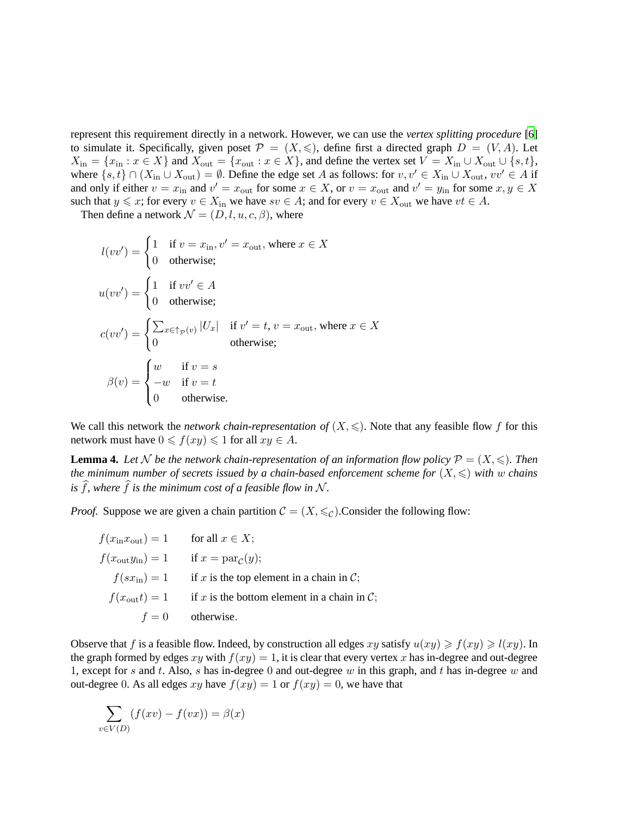represent this requirement directly in a network. However, we can use the *vertex splitting procedure* [\[6](#page-22-9)] to simulate it. Specifically, given poset  $\mathcal{P} = (X, \leqslant)$ , define first a directed graph  $D = (V, A)$ . Let  $X_{\text{in}} = \{x_{\text{in}} : x \in X\}$  and  $X_{\text{out}} = \{x_{\text{out}} : x \in X\}$ , and define the vertex set  $V = X_{\text{in}} \cup X_{\text{out}} \cup \{s, t\}$ , where  $\{s, t\} \cap (X_{\text{in}} \cup X_{\text{out}}) = \emptyset$ . Define the edge set A as follows: for  $v, v' \in X_{\text{in}} \cup X_{\text{out}}$ ,  $vv' \in A$  if and only if either  $v = x_{\text{in}}$  and  $v' = x_{\text{out}}$  for some  $x \in X$ , or  $v = x_{\text{out}}$  and  $v' = y_{\text{in}}$  for some  $x, y \in X$ such that  $y \leq x$ ; for every  $v \in X_{\text{in}}$  we have  $sv \in A$ ; and for every  $v \in X_{\text{out}}$  we have  $vt \in A$ .

Then define a network  $\mathcal{N} = (D, l, u, c, \beta)$ , where

$$
l(vv') = \begin{cases} 1 & \text{if } v = x_{\text{in}}, v' = x_{\text{out}}, \text{ where } x \in X \\ 0 & \text{otherwise}; \end{cases}
$$
  

$$
u(vv') = \begin{cases} 1 & \text{if } vv' \in A \\ 0 & \text{otherwise}; \end{cases}
$$
  

$$
c(vv') = \begin{cases} \sum_{x \in \uparrow_{\mathcal{P}}(v)} |U_x| & \text{if } v' = t, v = x_{\text{out}}, \text{ where } x \in X \\ 0 & \text{otherwise}; \end{cases}
$$
  

$$
\beta(v) = \begin{cases} w & \text{if } v = s \\ -w & \text{if } v = t \\ 0 & \text{otherwise}. \end{cases}
$$

We call this network the *network chain-representation of*  $(X, \leq)$ . Note that any feasible flow f for this network must have  $0 \leq f(xy) \leq 1$  for all  $xy \in A$ .

<span id="page-20-0"></span>**Lemma 4.** Let N be the network chain-representation of an information flow policy  $\mathcal{P} = (X, \leqslant)$ . Then *the minimum number of secrets issued by a chain-based enforcement scheme for*  $(X, \leq)$  *with* w *chains is*  $\hat{f}$ *, where*  $\hat{f}$  *is the minimum cost of a feasible flow in* N.

*Proof.* Suppose we are given a chain partition  $C = (X, \leq_C)$ . Consider the following flow:

 $f(x<sub>in</sub>x<sub>out</sub>) = 1$  for all  $x \in X$ ;  $f(x_{\text{out}}y_{\text{in}}) = 1$ if  $x = \text{par}_{\mathcal{C}}(y)$ ;  $f(sx_{\text{in}}) = 1$  if x is the top element in a chain in C;  $f(x_{\text{out}}t) = 1$  if x is the bottom element in a chain in C;  $f = 0$  otherwise.

Observe that f is a feasible flow. Indeed, by construction all edges  $xy$  satisfy  $u(xy) \ge f(xy) \ge l(xy)$ . In the graph formed by edges xy with  $f(xy) = 1$ , it is clear that every vertex x has in-degree and out-degree 1, except for s and t. Also, s has in-degree 0 and out-degree w in this graph, and t has in-degree w and out-degree 0. As all edges xy have  $f(xy) = 1$  or  $f(xy) = 0$ , we have that

$$
\sum_{v \in V(D)} (f(xv) - f(vx)) = \beta(x)
$$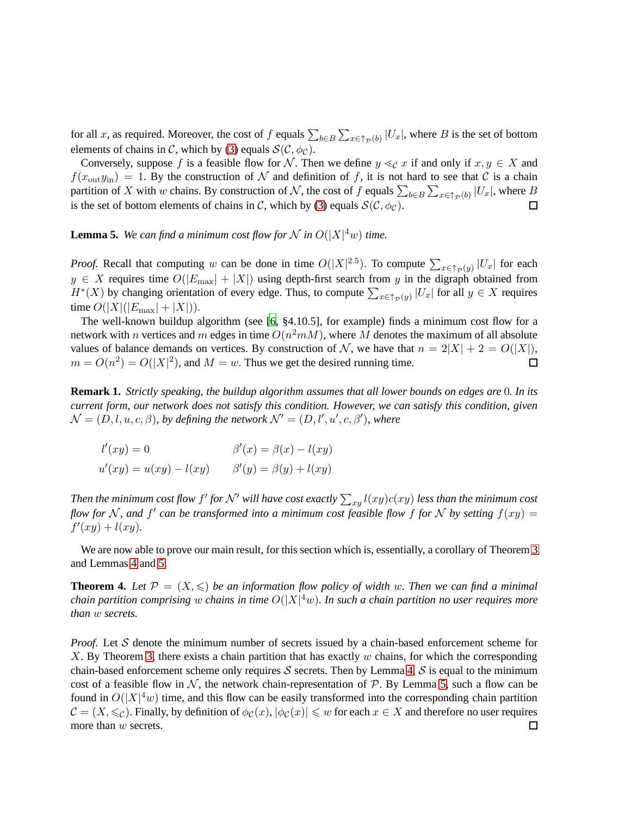for all x, as required. Moreover, the cost of f equals  $\sum_{b \in B} \sum_{x \in \uparrow_{\mathcal{P}}(b)} |U_x|$ , where B is the set of bottom elements of chains in C, which by [\(3\)](#page-17-3) equals  $\mathcal{S}(\mathcal{C}, \phi_{\mathcal{C}})$ .

Conversely, suppose f is a feasible flow for N. Then we define  $y \leq_{\mathcal{C}} x$  if and only if  $x, y \in X$  and  $f(x_{\text{out}}y_{\text{in}}) = 1$ . By the construction of N and definition of f, it is not hard to see that C is a chain partition of X with w chains. By construction of N, the cost of f equals  $\sum_{b \in B} \sum_{x \in \uparrow_{\mathcal{P}}(b)} |U_x|$ , where B is the set of bottom elements of chains in C, which by [\(3\)](#page-17-3) equals  $\mathcal{S}(\mathcal{C}, \phi_{\mathcal{C}})$ . 囗

<span id="page-21-1"></span>**Lemma 5.** We can find a minimum cost flow for N in  $O(|X|^4w)$  time.

*Proof.* Recall that computing w can be done in time  $O(|X|^{2.5})$ . To compute  $\sum_{x \in \uparrow_{\mathcal{P}}(y)} |U_x|$  for each  $y \in X$  requires time  $O(|E_{\text{max}}| + |X|)$  using depth-first search from y in the digraph obtained from  $H^*(X)$  by changing orientation of every edge. Thus, to compute  $\sum_{x \in \uparrow_{\mathcal{P}}(y)} |U_x|$  for all  $y \in X$  requires time  $O(|X|(|E_{\text{max}}| + |X|)).$ 

The well-known buildup algorithm (see [\[6,](#page-22-9) §4.10.5], for example) finds a minimum cost flow for a network with n vertices and m edges in time  $O(n^2mM)$ , where M denotes the maximum of all absolute values of balance demands on vertices. By construction of N, we have that  $n = 2|X| + 2 = O(|X|)$ ,  $m = O(n^2) = O(|X|^2)$ , and  $M = w$ . Thus we get the desired running time.  $\Box$ 

**Remark 1.** *Strictly speaking, the buildup algorithm assumes that all lower bounds on edges are* 0*. In its current form, our network does not satisfy this condition. However, we can satisfy this condition, given*  $\mathcal{N} = (D, l, u, c, \beta)$ , by defining the network  $\mathcal{N}' = (D, l', u', c, \beta')$ , where

$$
l'(xy) = 0
$$
  

$$
\beta'(x) = \beta(x) - l(xy)
$$
  

$$
u'(xy) = u(xy) - l(xy)
$$
  

$$
\beta'(y) = \beta(y) + l(xy)
$$

Then the minimum cost flow  $f'$  for  $\mathcal{N}'$  will have cost exactly  $\sum_{xy} l(xy) c(xy)$  less than the minimum cost *flow for* N, and  $f'$  can be transformed into a minimum cost feasible flow f for N by setting  $f(xy) =$  $f'(xy) + l(xy)$ .

We are now able to prove our main result, for this section which is, essentially, a corollary of Theorem [3](#page-18-0) and Lemmas [4](#page-20-0) and [5.](#page-21-1)

<span id="page-21-0"></span>**Theorem 4.** Let  $\mathcal{P} = (X, \leqslant)$  be an information flow policy of width w. Then we can find a minimal *chain partition comprising w chains in time*  $O(|X|^4w)$ . In such a chain partition no user requires more *than* w *secrets.*

*Proof.* Let S denote the minimum number of secrets issued by a chain-based enforcement scheme for  $X$ . By Theorem [3,](#page-18-0) there exists a chain partition that has exactly  $w$  chains, for which the corresponding chain-based enforcement scheme only requires S secrets. Then by Lemma [4,](#page-20-0) S is equal to the minimum cost of a feasible flow in  $\mathcal N$ , the network chain-representation of  $\mathcal P$ . By Lemma [5,](#page-21-1) such a flow can be found in  $O(|X|^4 w)$  time, and this flow can be easily transformed into the corresponding chain partition  $\mathcal{C} = (X, \leqslant_C)$ . Finally, by definition of  $\phi_C(x)$ ,  $|\phi_C(x)| \leqslant w$  for each  $x \in X$  and therefore no user requires more than w secrets. $\Box$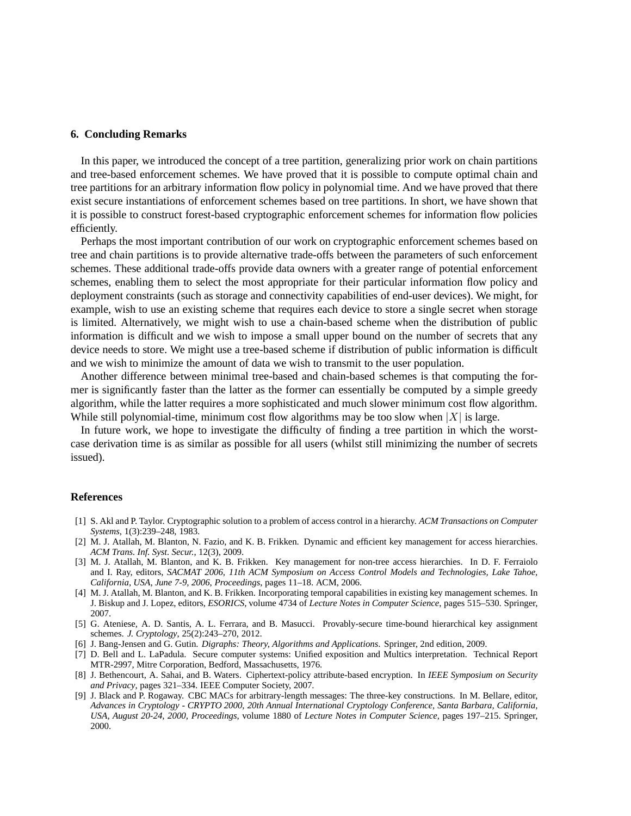# <span id="page-22-4"></span>**6. Concluding Remarks**

In this paper, we introduced the concept of a tree partition, generalizing prior work on chain partitions and tree-based enforcement schemes. We have proved that it is possible to compute optimal chain and tree partitions for an arbitrary information flow policy in polynomial time. And we have proved that there exist secure instantiations of enforcement schemes based on tree partitions. In short, we have shown that it is possible to construct forest-based cryptographic enforcement schemes for information flow policies efficiently.

Perhaps the most important contribution of our work on cryptographic enforcement schemes based on tree and chain partitions is to provide alternative trade-offs between the parameters of such enforcement schemes. These additional trade-offs provide data owners with a greater range of potential enforcement schemes, enabling them to select the most appropriate for their particular information flow policy and deployment constraints (such as storage and connectivity capabilities of end-user devices). We might, for example, wish to use an existing scheme that requires each device to store a single secret when storage is limited. Alternatively, we might wish to use a chain-based scheme when the distribution of public information is difficult and we wish to impose a small upper bound on the number of secrets that any device needs to store. We might use a tree-based scheme if distribution of public information is difficult and we wish to minimize the amount of data we wish to transmit to the user population.

Another difference between minimal tree-based and chain-based schemes is that computing the former is significantly faster than the latter as the former can essentially be computed by a simple greedy algorithm, while the latter requires a more sophisticated and much slower minimum cost flow algorithm. While still polynomial-time, minimum cost flow algorithms may be too slow when  $|X|$  is large.

In future work, we hope to investigate the difficulty of finding a tree partition in which the worstcase derivation time is as similar as possible for all users (whilst still minimizing the number of secrets issued).

#### **References**

- <span id="page-22-0"></span>[1] S. Akl and P. Taylor. Cryptographic solution to a problem of access control in a hierarchy. *ACM Transactions on Computer Systems*, 1(3):239–248, 1983.
- <span id="page-22-3"></span>[2] M. J. Atallah, M. Blanton, N. Fazio, and K. B. Frikken. Dynamic and efficient key management for access hierarchies. *ACM Trans. Inf. Syst. Secur.*, 12(3), 2009.
- <span id="page-22-7"></span>[3] M. J. Atallah, M. Blanton, and K. B. Frikken. Key management for non-tree access hierarchies. In D. F. Ferraiolo and I. Ray, editors, *SACMAT 2006, 11th ACM Symposium on Access Control Models and Technologies, Lake Tahoe, California, USA, June 7-9, 2006, Proceedings*, pages 11–18. ACM, 2006.
- <span id="page-22-5"></span>[4] M. J. Atallah, M. Blanton, and K. B. Frikken. Incorporating temporal capabilities in existing key management schemes. In J. Biskup and J. Lopez, editors, *ESORICS*, volume 4734 of *Lecture Notes in Computer Science*, pages 515–530. Springer, 2007.
- <span id="page-22-6"></span>[5] G. Ateniese, A. D. Santis, A. L. Ferrara, and B. Masucci. Provably-secure time-bound hierarchical key assignment schemes. *J. Cryptology*, 25(2):243–270, 2012.
- <span id="page-22-9"></span>[6] J. Bang-Jensen and G. Gutin. *Digraphs: Theory, Algorithms and Applications*. Springer, 2nd edition, 2009.
- <span id="page-22-2"></span>[7] D. Bell and L. LaPadula. Secure computer systems: Unified exposition and Multics interpretation. Technical Report MTR-2997, Mitre Corporation, Bedford, Massachusetts, 1976.
- <span id="page-22-1"></span>[8] J. Bethencourt, A. Sahai, and B. Waters. Ciphertext-policy attribute-based encryption. In *IEEE Symposium on Security and Privacy*, pages 321–334. IEEE Computer Society, 2007.
- <span id="page-22-8"></span>[9] J. Black and P. Rogaway. CBC MACs for arbitrary-length messages: The three-key constructions. In M. Bellare, editor, *Advances in Cryptology - CRYPTO 2000, 20th Annual International Cryptology Conference, Santa Barbara, California, USA, August 20-24, 2000, Proceedings*, volume 1880 of *Lecture Notes in Computer Science*, pages 197–215. Springer, 2000.